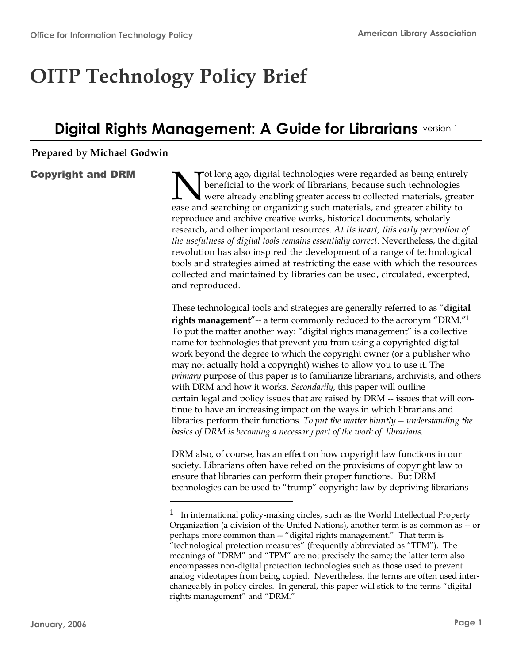# **OITP Technology Policy Brief**

# **Digital Rights Management: A Guide for Librarians** version 1

#### **Prepared by Michael Godwin**

# Copyright and DRM

N penericial to the work of ilorarians, because such technologies<br>were already enabling greater access to collected materials, greater ot long ago, digital technologies were regarded as being entirely beneficial to the work of librarians, because such technologies ease and searching or organizing such materials, and greater ability to reproduce and archive creative works, historical documents, scholarly research, and other important resources. *At its heart, this early perception of the usefulness of digital tools remains essentially correct*. Nevertheless, the digital revolution has also inspired the development of a range of technological tools and strategies aimed at restricting the ease with which the resources collected and maintained by libraries can be used, circulated, excerpted, and reproduced.

These technological tools and strategies are generally referred to as "**digital rights management**"-- a term commonly reduced to the acronym "DRM."<sup>1</sup> To put the matter another way: "digital rights management" is a collective name for technologies that prevent you from using a copyrighted digital work beyond the degree to which the copyright owner (or a publisher who may not actually hold a copyright) wishes to allow you to use it. The *primary* purpose of this paper is to familiarize librarians, archivists, and others with DRM and how it works. *Secondarily*, this paper will outline certain legal and policy issues that are raised by DRM -- issues that will continue to have an increasing impact on the ways in which librarians and libraries perform their functions. *To put the matter bluntly -- understanding the basics of DRM is becoming a necessary part of the work of librarians.*

DRM also, of course, has an effect on how copyright law functions in our society. Librarians often have relied on the provisions of copyright law to ensure that libraries can perform their proper functions. But DRM technologies can be used to "trump" copyright law by depriving librarians --

 $1$  In international policy-making circles, such as the World Intellectual Property Organization (a division of the United Nations), another term is as common as -- or perhaps more common than -- "digital rights management." That term is "technological protection measures" (frequently abbreviated as "TPM"). The meanings of "DRM" and "TPM" are not precisely the same; the latter term also encompasses non-digital protection technologies such as those used to prevent analog videotapes from being copied. Nevertheless, the terms are often used interchangeably in policy circles. In general, this paper will stick to the terms "digital rights management" and "DRM."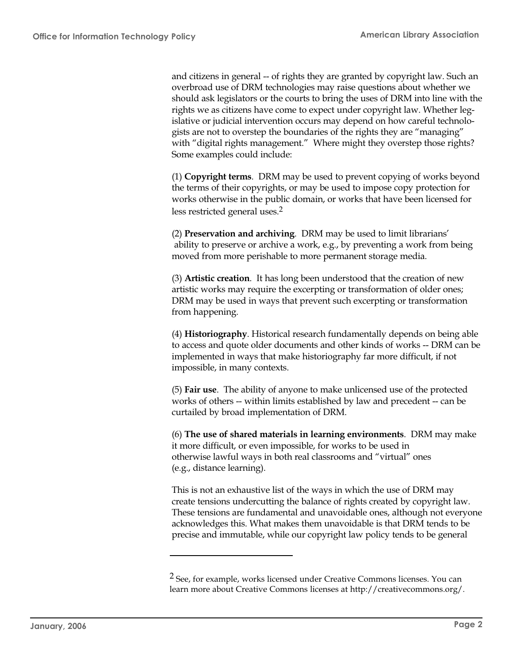and citizens in general -- of rights they are granted by copyright law. Such an overbroad use of DRM technologies may raise questions about whether we should ask legislators or the courts to bring the uses of DRM into line with the rights we as citizens have come to expect under copyright law. Whether legislative or judicial intervention occurs may depend on how careful technologists are not to overstep the boundaries of the rights they are "managing" with "digital rights management." Where might they overstep those rights? Some examples could include:

(1) **Copyright terms**. DRM may be used to prevent copying of works beyond the terms of their copyrights, or may be used to impose copy protection for works otherwise in the public domain, or works that have been licensed for less restricted general uses.<sup>2</sup>

(2) **Preservation and archiving**. DRM may be used to limit librarians' ability to preserve or archive a work, e.g., by preventing a work from being moved from more perishable to more permanent storage media.

(3) **Artistic creation**. It has long been understood that the creation of new artistic works may require the excerpting or transformation of older ones; DRM may be used in ways that prevent such excerpting or transformation from happening.

(4) **Historiography**. Historical research fundamentally depends on being able to access and quote older documents and other kinds of works -- DRM can be implemented in ways that make historiography far more difficult, if not impossible, in many contexts.

(5) **Fair use**. The ability of anyone to make unlicensed use of the protected works of others -- within limits established by law and precedent -- can be curtailed by broad implementation of DRM.

(6) **The use of shared materials in learning environments**. DRM may make it more difficult, or even impossible, for works to be used in otherwise lawful ways in both real classrooms and "virtual" ones (e.g., distance learning).

This is not an exhaustive list of the ways in which the use of DRM may create tensions undercutting the balance of rights created by copyright law. These tensions are fundamental and unavoidable ones, although not everyone acknowledges this. What makes them unavoidable is that DRM tends to be precise and immutable, while our copyright law policy tends to be general

<sup>2</sup> See, for example, works licensed under Creative Commons licenses. You can learn more about Creative Commons licenses at http://creativecommons.org/.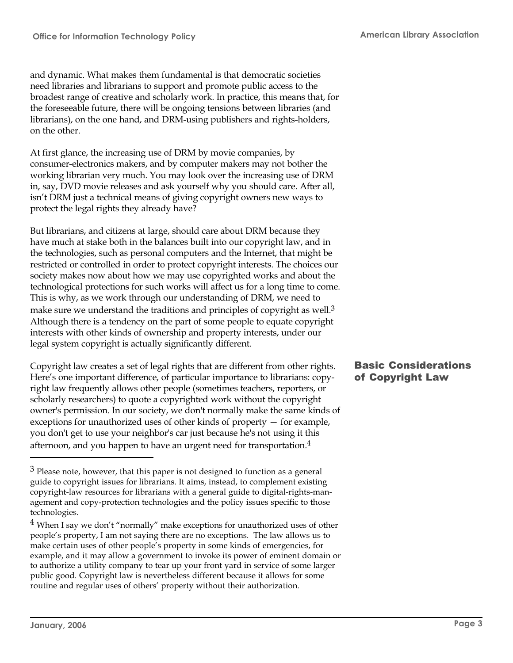and dynamic. What makes them fundamental is that democratic societies need libraries and librarians to support and promote public access to the broadest range of creative and scholarly work. In practice, this means that, for the foreseeable future, there will be ongoing tensions between libraries (and librarians), on the one hand, and DRM-using publishers and rights-holders, on the other.

At first glance, the increasing use of DRM by movie companies, by consumer-electronics makers, and by computer makers may not bother the working librarian very much. You may look over the increasing use of DRM in, say, DVD movie releases and ask yourself why you should care. After all, isn't DRM just a technical means of giving copyright owners new ways to protect the legal rights they already have?

But librarians, and citizens at large, should care about DRM because they have much at stake both in the balances built into our copyright law, and in the technologies, such as personal computers and the Internet, that might be restricted or controlled in order to protect copyright interests. The choices our society makes now about how we may use copyrighted works and about the technological protections for such works will affect us for a long time to come. This is why, as we work through our understanding of DRM, we need to make sure we understand the traditions and principles of copyright as well.<sup>3</sup> Although there is a tendency on the part of some people to equate copyright interests with other kinds of ownership and property interests, under our legal system copyright is actually significantly different.

Copyright law creates a set of legal rights that are different from other rights. Here's one important difference, of particular importance to librarians: copyright law frequently allows other people (sometimes teachers, reporters, or scholarly researchers) to quote a copyrighted work without the copyright owner's permission. In our society, we don't normally make the same kinds of exceptions for unauthorized uses of other kinds of property — for example, you don't get to use your neighbor's car just because he's not using it this afternoon, and you happen to have an urgent need for transportation.<sup>4</sup>

# Basic Considerations of Copyright Law

 $3$  Please note, however, that this paper is not designed to function as a general guide to copyright issues for librarians. It aims, instead, to complement existing copyright-law resources for librarians with a general guide to digital-rights-management and copy-protection technologies and the policy issues specific to those technologies.

<sup>&</sup>lt;sup>4</sup> When I say we don't "normally" make exceptions for unauthorized uses of other people's property, I am not saying there are no exceptions. The law allows us to make certain uses of other people's property in some kinds of emergencies, for example, and it may allow a government to invoke its power of eminent domain or to authorize a utility company to tear up your front yard in service of some larger public good. Copyright law is nevertheless different because it allows for some routine and regular uses of others' property without their authorization.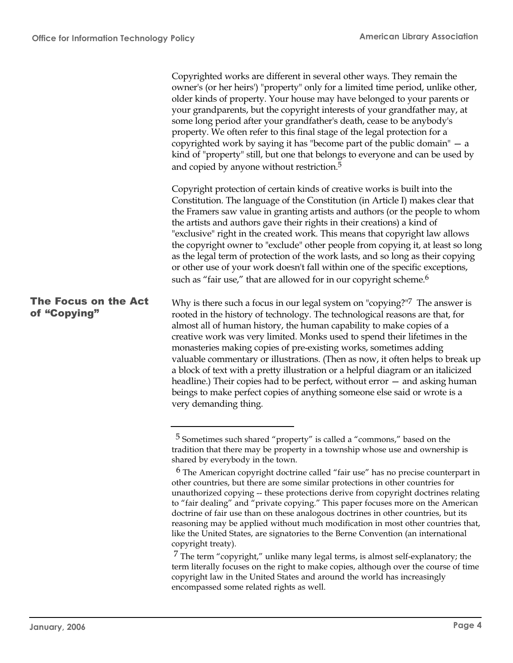Copyrighted works are different in several other ways. They remain the owner's (or her heirs') "property" only for a limited time period, unlike other, older kinds of property. Your house may have belonged to your parents or your grandparents, but the copyright interests of your grandfather may, at some long period after your grandfather's death, cease to be anybody's property. We often refer to this final stage of the legal protection for a copyrighted work by saying it has "become part of the public domain" — a kind of "property" still, but one that belongs to everyone and can be used by and copied by anyone without restriction.<sup>5</sup> Copyright protection of certain kinds of creative works is built into the Constitution. The language of the Constitution (in Article I) makes clear that the Framers saw value in granting artists and authors (or the people to whom the artists and authors gave their rights in their creations) a kind of "exclusive" right in the created work. This means that copyright law allows the copyright owner to "exclude" other people from copying it, at least so long as the legal term of protection of the work lasts, and so long as their copying or other use of your work doesn't fall within one of the specific exceptions, such as "fair use," that are allowed for in our copyright scheme.<sup>6</sup> Why is there such a focus in our legal system on "copying?"<sup>7</sup> The answer is rooted in the history of technology. The technological reasons are that, for almost all of human history, the human capability to make copies of a creative work was very limited. Monks used to spend their lifetimes in the monasteries making copies of pre-existing works, sometimes adding valuable commentary or illustrations. (Then as now, it often helps to break up The Focus on the Act of "Copying"

a block of text with a pretty illustration or a helpful diagram or an italicized headline.) Their copies had to be perfect, without error – and asking human beings to make perfect copies of anything someone else said or wrote is a very demanding thing.

 $7$  The term "copyright," unlike many legal terms, is almost self-explanatory; the term literally focuses on the right to make copies, although over the course of time copyright law in the United States and around the world has increasingly encompassed some related rights as well.

<sup>5</sup> Sometimes such shared "property" is called a "commons," based on the tradition that there may be property in a township whose use and ownership is shared by everybody in the town.

 $6$  The American copyright doctrine called "fair use" has no precise counterpart in other countries, but there are some similar protections in other countries for unauthorized copying -- these protections derive from copyright doctrines relating to "fair dealing" and "private copying." This paper focuses more on the American doctrine of fair use than on these analogous doctrines in other countries, but its reasoning may be applied without much modification in most other countries that, like the United States, are signatories to the Berne Convention (an international copyright treaty).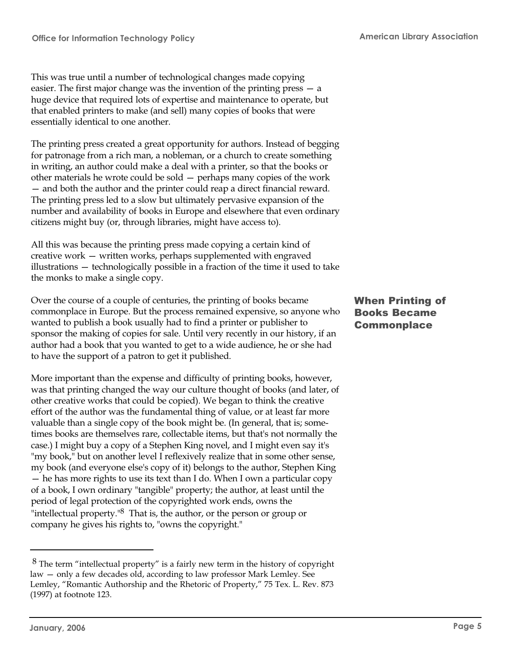This was true until a number of technological changes made copying easier. The first major change was the invention of the printing press — a huge device that required lots of expertise and maintenance to operate, but that enabled printers to make (and sell) many copies of books that were essentially identical to one another.

The printing press created a great opportunity for authors. Instead of begging for patronage from a rich man, a nobleman, or a church to create something in writing, an author could make a deal with a printer, so that the books or other materials he wrote could be sold — perhaps many copies of the work — and both the author and the printer could reap a direct financial reward. The printing press led to a slow but ultimately pervasive expansion of the number and availability of books in Europe and elsewhere that even ordinary citizens might buy (or, through libraries, might have access to).

All this was because the printing press made copying a certain kind of creative work — written works, perhaps supplemented with engraved illustrations — technologically possible in a fraction of the time it used to take the monks to make a single copy.

Over the course of a couple of centuries, the printing of books became commonplace in Europe. But the process remained expensive, so anyone who wanted to publish a book usually had to find a printer or publisher to sponsor the making of copies for sale. Until very recently in our history, if an author had a book that you wanted to get to a wide audience, he or she had to have the support of a patron to get it published.

More important than the expense and difficulty of printing books, however, was that printing changed the way our culture thought of books (and later, of other creative works that could be copied). We began to think the creative effort of the author was the fundamental thing of value, or at least far more valuable than a single copy of the book might be. (In general, that is; sometimes books are themselves rare, collectable items, but that's not normally the case.) I might buy a copy of a Stephen King novel, and I might even say it's "my book," but on another level I reflexively realize that in some other sense, my book (and everyone else's copy of it) belongs to the author, Stephen King — he has more rights to use its text than I do. When I own a particular copy of a book, I own ordinary "tangible" property; the author, at least until the period of legal protection of the copyrighted work ends, owns the "intellectual property." $8$  That is, the author, or the person or group or company he gives his rights to, "owns the copyright."

#### When Printing of Books Became **Commonplace**

 $8$  The term "intellectual property" is a fairly new term in the history of copyright law — only a few decades old, according to law professor Mark Lemley. See Lemley, "Romantic Authorship and the Rhetoric of Property," 75 Tex. L. Rev. 873 (1997) at footnote 123.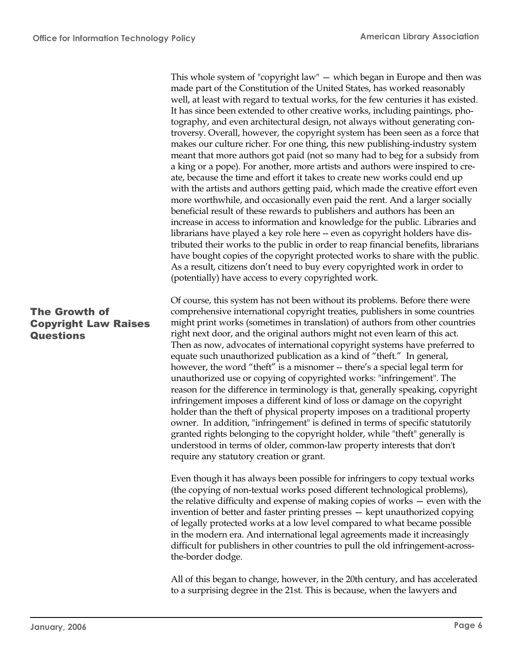This whole system of "copyright law" — which began in Europe and then was made part of the Constitution of the United States, has worked reasonably well, at least with regard to textual works, for the few centuries it has existed. It has since been extended to other creative works, including paintings, photography, and even architectural design, not always without generating controversy. Overall, however, the copyright system has been seen as a force that makes our culture richer. For one thing, this new publishing-industry system meant that more authors got paid (not so many had to beg for a subsidy from a king or a pope). For another, more artists and authors were inspired to create, because the time and effort it takes to create new works could end up with the artists and authors getting paid, which made the creative effort even more worthwhile, and occasionally even paid the rent. And a larger socially beneficial result of these rewards to publishers and authors has been an increase in access to information and knowledge for the public. Libraries and librarians have played a key role here -- even as copyright holders have distributed their works to the public in order to reap financial benefits, librarians have bought copies of the copyright protected works to share with the public. As a result, citizens don't need to buy every copyrighted work in order to (potentially) have access to every copyrighted work.

# The Growth of Copyright Law Raises **Questions**

Of course, this system has not been without its problems. Before there were comprehensive international copyright treaties, publishers in some countries might print works (sometimes in translation) of authors from other countries right next door, and the original authors might not even learn of this act. Then as now, advocates of international copyright systems have preferred to equate such unauthorized publication as a kind of "theft." In general, however, the word "theft" is a misnomer -- there's a special legal term for unauthorized use or copying of copyrighted works: "infringement". The reason for the difference in terminology is that, generally speaking, copyright infringement imposes a different kind of loss or damage on the copyright holder than the theft of physical property imposes on a traditional property owner. In addition, "infringement" is defined in terms of specific statutorily granted rights belonging to the copyright holder, while "theft" generally is understood in terms of older, common-law property interests that don't require any statutory creation or grant.

Even though it has always been possible for infringers to copy textual works (the copying of non-textual works posed different technological problems), the relative difficulty and expense of making copies of works — even with the invention of better and faster printing presses — kept unauthorized copying of legally protected works at a low level compared to what became possible in the modern era. And international legal agreements made it increasingly difficult for publishers in other countries to pull the old infringement-acrossthe-border dodge.

All of this began to change, however, in the 20th century, and has accelerated to a surprising degree in the 21st. This is because, when the lawyers and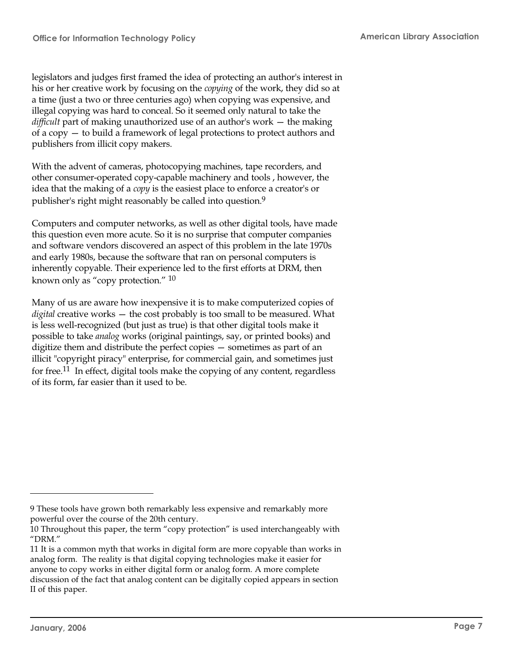legislators and judges first framed the idea of protecting an author's interest in his or her creative work by focusing on the *copying* of the work, they did so at a time (just a two or three centuries ago) when copying was expensive, and illegal copying was hard to conceal. So it seemed only natural to take the *difficult* part of making unauthorized use of an author's work — the making of a copy — to build a framework of legal protections to protect authors and publishers from illicit copy makers.

With the advent of cameras, photocopying machines, tape recorders, and other consumer-operated copy-capable machinery and tools , however, the idea that the making of a *copy* is the easiest place to enforce a creator's or publisher's right might reasonably be called into question.<sup>9</sup>

Computers and computer networks, as well as other digital tools, have made this question even more acute. So it is no surprise that computer companies and software vendors discovered an aspect of this problem in the late 1970s and early 1980s, because the software that ran on personal computers is inherently copyable. Their experience led to the first efforts at DRM, then known only as "copy protection." <sup>10</sup>

Many of us are aware how inexpensive it is to make computerized copies of *digital* creative works — the cost probably is too small to be measured. What is less well-recognized (but just as true) is that other digital tools make it possible to take *analog* works (original paintings, say, or printed books) and digitize them and distribute the perfect copies — sometimes as part of an illicit "copyright piracy" enterprise, for commercial gain, and sometimes just for free.<sup>11</sup> In effect, digital tools make the copying of any content, regardless of its form, far easier than it used to be.

<sup>9</sup> These tools have grown both remarkably less expensive and remarkably more powerful over the course of the 20th century.

<sup>10</sup> Throughout this paper, the term "copy protection" is used interchangeably with "DRM."

<sup>11</sup> It is a common myth that works in digital form are more copyable than works in analog form. The reality is that digital copying technologies make it easier for anyone to copy works in either digital form or analog form. A more complete discussion of the fact that analog content can be digitally copied appears in section II of this paper.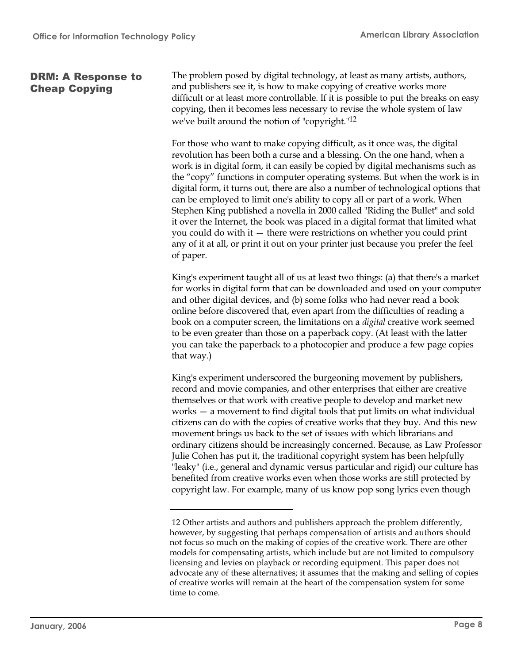#### DRM: A Response to Cheap Copying

The problem posed by digital technology, at least as many artists, authors, and publishers see it, is how to make copying of creative works more difficult or at least more controllable. If it is possible to put the breaks on easy copying, then it becomes less necessary to revise the whole system of law we've built around the notion of "copyright."<sup>12</sup>

For those who want to make copying difficult, as it once was, the digital revolution has been both a curse and a blessing. On the one hand, when a work is in digital form, it can easily be copied by digital mechanisms such as the "copy" functions in computer operating systems. But when the work is in digital form, it turns out, there are also a number of technological options that can be employed to limit one's ability to copy all or part of a work. When Stephen King published a novella in 2000 called "Riding the Bullet" and sold it over the Internet, the book was placed in a digital format that limited what you could do with it — there were restrictions on whether you could print any of it at all, or print it out on your printer just because you prefer the feel of paper.

King's experiment taught all of us at least two things: (a) that there's a market for works in digital form that can be downloaded and used on your computer and other digital devices, and (b) some folks who had never read a book online before discovered that, even apart from the difficulties of reading a book on a computer screen, the limitations on a *digital* creative work seemed to be even greater than those on a paperback copy. (At least with the latter you can take the paperback to a photocopier and produce a few page copies that way.)

King's experiment underscored the burgeoning movement by publishers, record and movie companies, and other enterprises that either are creative themselves or that work with creative people to develop and market new works — a movement to find digital tools that put limits on what individual citizens can do with the copies of creative works that they buy. And this new movement brings us back to the set of issues with which librarians and ordinary citizens should be increasingly concerned. Because, as Law Professor Julie Cohen has put it, the traditional copyright system has been helpfully "leaky" (i.e., general and dynamic versus particular and rigid) our culture has benefited from creative works even when those works are still protected by copyright law. For example, many of us know pop song lyrics even though

<sup>12</sup> Other artists and authors and publishers approach the problem differently, however, by suggesting that perhaps compensation of artists and authors should not focus so much on the making of copies of the creative work. There are other models for compensating artists, which include but are not limited to compulsory licensing and levies on playback or recording equipment. This paper does not advocate any of these alternatives; it assumes that the making and selling of copies of creative works will remain at the heart of the compensation system for some time to come.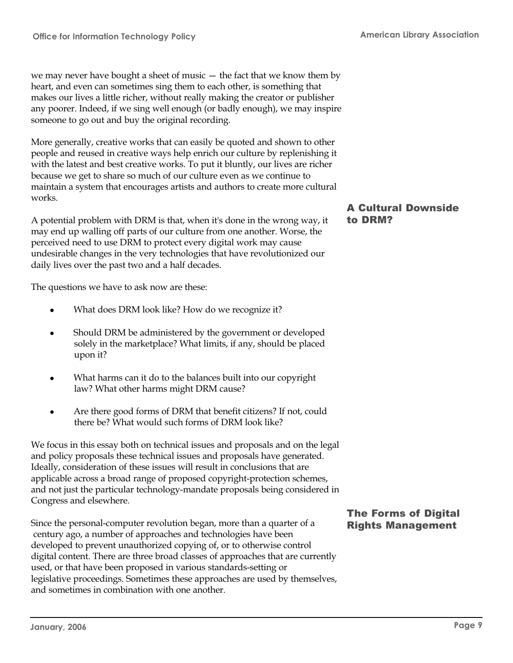we may never have bought a sheet of music — the fact that we know them by heart, and even can sometimes sing them to each other, is something that makes our lives a little richer, without really making the creator or publisher any poorer. Indeed, if we sing well enough (or badly enough), we may inspire someone to go out and buy the original recording.

More generally, creative works that can easily be quoted and shown to other people and reused in creative ways help enrich our culture by replenishing it with the latest and best creative works. To put it bluntly, our lives are richer because we get to share so much of our culture even as we continue to maintain a system that encourages artists and authors to create more cultural works.

A potential problem with DRM is that, when it's done in the wrong way, it may end up walling off parts of our culture from one another. Worse, the perceived need to use DRM to protect every digital work may cause undesirable changes in the very technologies that have revolutionized our daily lives over the past two and a half decades.

The questions we have to ask now are these:

- What does DRM look like? How do we recognize it?
- Should DRM be administered by the government or developed solely in the marketplace? What limits, if any, should be placed upon it?
- What harms can it do to the balances built into our copyright law? What other harms might DRM cause?
- Are there good forms of DRM that benefit citizens? If not, could there be? What would such forms of DRM look like?

We focus in this essay both on technical issues and proposals and on the legal and policy proposals these technical issues and proposals have generated. Ideally, consideration of these issues will result in conclusions that are applicable across a broad range of proposed copyright-protection schemes, and not just the particular technology-mandate proposals being considered in Congress and elsewhere.

Since the personal-computer revolution began, more than a quarter of a century ago, a number of approaches and technologies have been developed to prevent unauthorized copying of, or to otherwise control digital content. There are three broad classes of approaches that are currently used, or that have been proposed in various standards-setting or legislative proceedings. Sometimes these approaches are used by themselves, and sometimes in combination with one another.

#### A Cultural Downside to DRM?

# The Forms of Digital Rights Management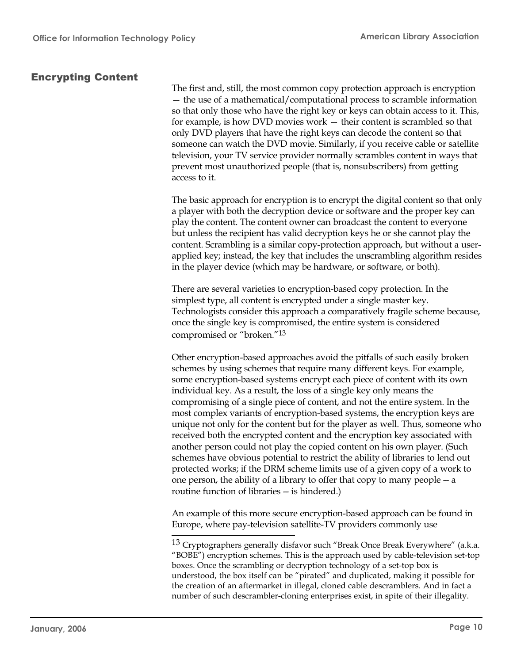#### Encrypting Content

The first and, still, the most common copy protection approach is encryption — the use of a mathematical/computational process to scramble information so that only those who have the right key or keys can obtain access to it. This, for example, is how DVD movies work — their content is scrambled so that only DVD players that have the right keys can decode the content so that someone can watch the DVD movie. Similarly, if you receive cable or satellite television, your TV service provider normally scrambles content in ways that prevent most unauthorized people (that is, nonsubscribers) from getting access to it.

The basic approach for encryption is to encrypt the digital content so that only a player with both the decryption device or software and the proper key can play the content. The content owner can broadcast the content to everyone but unless the recipient has valid decryption keys he or she cannot play the content. Scrambling is a similar copy-protection approach, but without a userapplied key; instead, the key that includes the unscrambling algorithm resides in the player device (which may be hardware, or software, or both).

There are several varieties to encryption-based copy protection. In the simplest type, all content is encrypted under a single master key. Technologists consider this approach a comparatively fragile scheme because, once the single key is compromised, the entire system is considered compromised or "broken."<sup>13</sup>

Other encryption-based approaches avoid the pitfalls of such easily broken schemes by using schemes that require many different keys. For example, some encryption-based systems encrypt each piece of content with its own individual key. As a result, the loss of a single key only means the compromising of a single piece of content, and not the entire system. In the most complex variants of encryption-based systems, the encryption keys are unique not only for the content but for the player as well. Thus, someone who received both the encrypted content and the encryption key associated with another person could not play the copied content on his own player. (Such schemes have obvious potential to restrict the ability of libraries to lend out protected works; if the DRM scheme limits use of a given copy of a work to one person, the ability of a library to offer that copy to many people -- a routine function of libraries -- is hindered.)

An example of this more secure encryption-based approach can be found in Europe, where pay-television satellite-TV providers commonly use

<sup>&</sup>lt;sup>13</sup> Cryptographers generally disfavor such "Break Once Break Everywhere" (a.k.a. "BOBE") encryption schemes. This is the approach used by cable-television set-top boxes. Once the scrambling or decryption technology of a set-top box is understood, the box itself can be "pirated" and duplicated, making it possible for the creation of an aftermarket in illegal, cloned cable descramblers. And in fact a number of such descrambler-cloning enterprises exist, in spite of their illegality.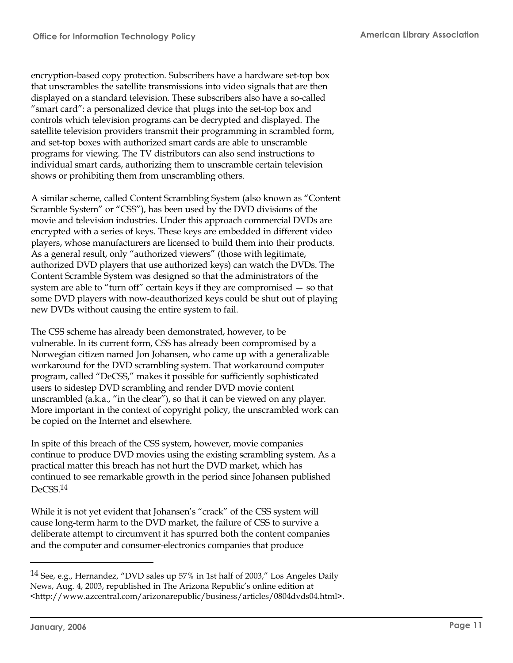encryption-based copy protection. Subscribers have a hardware set-top box that unscrambles the satellite transmissions into video signals that are then displayed on a standard television. These subscribers also have a so-called "smart card": a personalized device that plugs into the set-top box and controls which television programs can be decrypted and displayed. The satellite television providers transmit their programming in scrambled form, and set-top boxes with authorized smart cards are able to unscramble programs for viewing. The TV distributors can also send instructions to individual smart cards, authorizing them to unscramble certain television shows or prohibiting them from unscrambling others.

A similar scheme, called Content Scrambling System (also known as "Content Scramble System" or "CSS"), has been used by the DVD divisions of the movie and television industries. Under this approach commercial DVDs are encrypted with a series of keys. These keys are embedded in different video players, whose manufacturers are licensed to build them into their products. As a general result, only "authorized viewers" (those with legitimate, authorized DVD players that use authorized keys) can watch the DVDs. The Content Scramble System was designed so that the administrators of the system are able to "turn off" certain keys if they are compromised — so that some DVD players with now-deauthorized keys could be shut out of playing new DVDs without causing the entire system to fail.

The CSS scheme has already been demonstrated, however, to be vulnerable. In its current form, CSS has already been compromised by a Norwegian citizen named Jon Johansen, who came up with a generalizable workaround for the DVD scrambling system. That workaround computer program, called "DeCSS," makes it possible for sufficiently sophisticated users to sidestep DVD scrambling and render DVD movie content unscrambled (a.k.a., "in the clear"), so that it can be viewed on any player. More important in the context of copyright policy, the unscrambled work can be copied on the Internet and elsewhere.

In spite of this breach of the CSS system, however, movie companies continue to produce DVD movies using the existing scrambling system. As a practical matter this breach has not hurt the DVD market, which has continued to see remarkable growth in the period since Johansen published DeCSS<sub>14</sub>

While it is not yet evident that Johansen's "crack" of the CSS system will cause long-term harm to the DVD market, the failure of CSS to survive a deliberate attempt to circumvent it has spurred both the content companies and the computer and consumer-electronics companies that produce

<sup>14</sup> See, e.g., Hernandez, "DVD sales up 57% in 1st half of 2003," Los Angeles Daily News, Aug. 4, 2003, republished in The Arizona Republic's online edition at <http://www.azcentral.com/arizonarepublic/business/articles/0804dvds04.html>.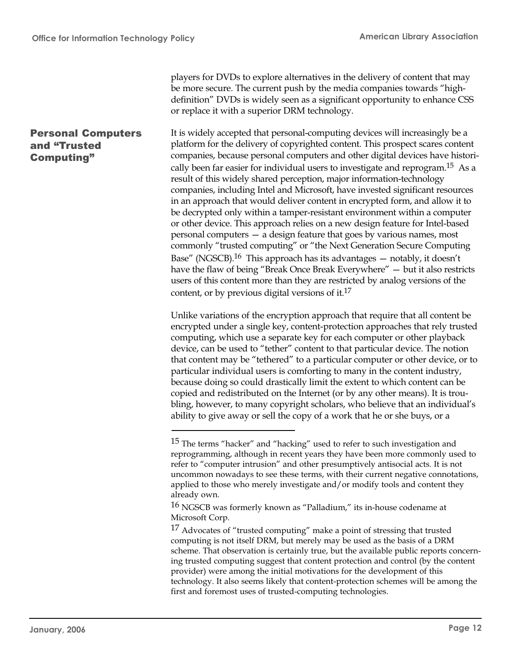Personal Computers

and "Trusted Computing"

players for DVDs to explore alternatives in the delivery of content that may be more secure. The current push by the media companies towards "highdefinition" DVDs is widely seen as a significant opportunity to enhance CSS or replace it with a superior DRM technology.

It is widely accepted that personal-computing devices will increasingly be a platform for the delivery of copyrighted content. This prospect scares content companies, because personal computers and other digital devices have historically been far easier for individual users to investigate and reprogram.<sup>15</sup> As a result of this widely shared perception, major information-technology companies, including Intel and Microsoft, have invested significant resources in an approach that would deliver content in encrypted form, and allow it to be decrypted only within a tamper-resistant environment within a computer or other device. This approach relies on a new design feature for Intel-based personal computers — a design feature that goes by various names, most commonly "trusted computing" or "the Next Generation Secure Computing Base" (NGSCB).<sup>16</sup> This approach has its advantages  $-$  notably, it doesn't have the flaw of being "Break Once Break Everywhere" — but it also restricts users of this content more than they are restricted by analog versions of the content, or by previous digital versions of it.<sup>17</sup>

Unlike variations of the encryption approach that require that all content be encrypted under a single key, content-protection approaches that rely trusted computing, which use a separate key for each computer or other playback device, can be used to "tether" content to that particular device. The notion that content may be "tethered" to a particular computer or other device, or to particular individual users is comforting to many in the content industry, because doing so could drastically limit the extent to which content can be copied and redistributed on the Internet (or by any other means). It is troubling, however, to many copyright scholars, who believe that an individual's ability to give away or sell the copy of a work that he or she buys, or a

 $15$  The terms "hacker" and "hacking" used to refer to such investigation and reprogramming, although in recent years they have been more commonly used to refer to "computer intrusion" and other presumptively antisocial acts. It is not uncommon nowadays to see these terms, with their current negative connotations, applied to those who merely investigate and/or modify tools and content they already own.

 $16$  NGSCB was formerly known as "Palladium," its in-house codename at Microsoft Corp.

 $17$  Advocates of "trusted computing" make a point of stressing that trusted computing is not itself DRM, but merely may be used as the basis of a DRM scheme. That observation is certainly true, but the available public reports concerning trusted computing suggest that content protection and control (by the content provider) were among the initial motivations for the development of this technology. It also seems likely that content-protection schemes will be among the first and foremost uses of trusted-computing technologies.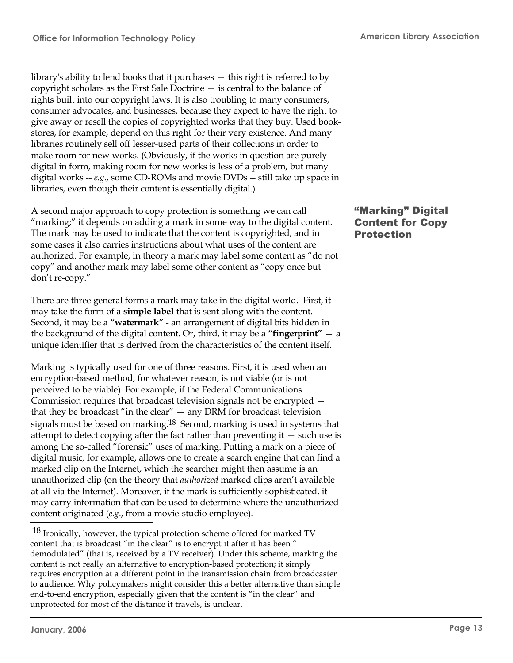library's ability to lend books that it purchases — this right is referred to by copyright scholars as the First Sale Doctrine — is central to the balance of rights built into our copyright laws. It is also troubling to many consumers, consumer advocates, and businesses, because they expect to have the right to give away or resell the copies of copyrighted works that they buy. Used bookstores, for example, depend on this right for their very existence. And many libraries routinely sell off lesser-used parts of their collections in order to make room for new works. (Obviously, if the works in question are purely digital in form, making room for new works is less of a problem, but many digital works -- *e.g*., some CD-ROMs and movie DVDs -- still take up space in libraries, even though their content is essentially digital.)

A second major approach to copy protection is something we can call "marking;" it depends on adding a mark in some way to the digital content. The mark may be used to indicate that the content is copyrighted, and in some cases it also carries instructions about what uses of the content are authorized. For example, in theory a mark may label some content as "do not copy" and another mark may label some other content as "copy once but don't re-copy."

There are three general forms a mark may take in the digital world. First, it may take the form of a **simple label** that is sent along with the content. Second, it may be a **"watermark"** - an arrangement of digital bits hidden in the background of the digital content. Or, third, it may be a **"fingerprint"** — a unique identifier that is derived from the characteristics of the content itself.

Marking is typically used for one of three reasons. First, it is used when an encryption-based method, for whatever reason, is not viable (or is not perceived to be viable). For example, if the Federal Communications Commission requires that broadcast television signals not be encrypted that they be broadcast "in the clear" — any DRM for broadcast television signals must be based on marking.<sup>18</sup> Second, marking is used in systems that attempt to detect copying after the fact rather than preventing it  $-$  such use is among the so-called "forensic" uses of marking. Putting a mark on a piece of digital music, for example, allows one to create a search engine that can find a marked clip on the Internet, which the searcher might then assume is an unauthorized clip (on the theory that *authorized* marked clips aren't available at all via the Internet). Moreover, if the mark is sufficiently sophisticated, it may carry information that can be used to determine where the unauthorized content originated (*e.g*., from a movie-studio employee).

<sup>18</sup> Ironically, however, the typical protection scheme offered for marked TV content that is broadcast "in the clear" is to encrypt it after it has been " demodulated" (that is, received by a TV receiver). Under this scheme, marking the content is not really an alternative to encryption-based protection; it simply requires encryption at a different point in the transmission chain from broadcaster to audience. Why policymakers might consider this a better alternative than simple end-to-end encryption, especially given that the content is "in the clear" and unprotected for most of the distance it travels, is unclear.

# "Marking" Digital Content for Copy Protection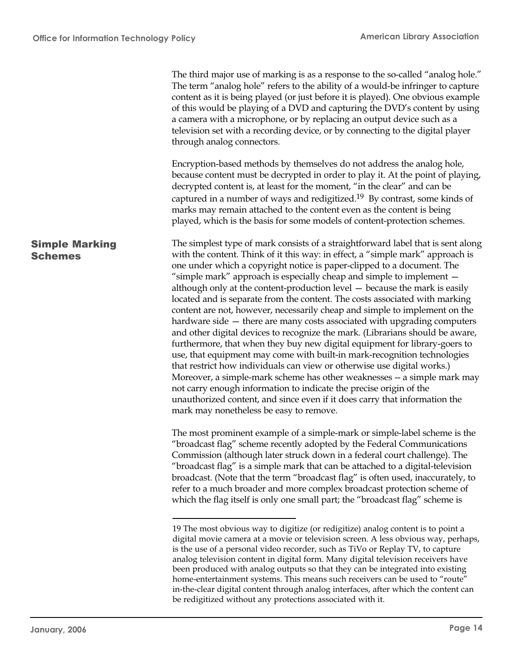|                                         | The third major use of marking is as a response to the so-called "analog hole."<br>The term "analog hole" refers to the ability of a would-be infringer to capture<br>content as it is being played (or just before it is played). One obvious example<br>of this would be playing of a DVD and capturing the DVD's content by using<br>a camera with a microphone, or by replacing an output device such as a<br>television set with a recording device, or by connecting to the digital player<br>through analog connectors.                                                                                                                                                                                                                                                                                                                                                                                                                                                                                                                                                                                                                                                                                                                 |
|-----------------------------------------|------------------------------------------------------------------------------------------------------------------------------------------------------------------------------------------------------------------------------------------------------------------------------------------------------------------------------------------------------------------------------------------------------------------------------------------------------------------------------------------------------------------------------------------------------------------------------------------------------------------------------------------------------------------------------------------------------------------------------------------------------------------------------------------------------------------------------------------------------------------------------------------------------------------------------------------------------------------------------------------------------------------------------------------------------------------------------------------------------------------------------------------------------------------------------------------------------------------------------------------------|
|                                         | Encryption-based methods by themselves do not address the analog hole,<br>because content must be decrypted in order to play it. At the point of playing,<br>decrypted content is, at least for the moment, "in the clear" and can be<br>captured in a number of ways and redigitized. <sup>19</sup> By contrast, some kinds of<br>marks may remain attached to the content even as the content is being<br>played, which is the basis for some models of content-protection schemes.                                                                                                                                                                                                                                                                                                                                                                                                                                                                                                                                                                                                                                                                                                                                                          |
| <b>Simple Marking</b><br><b>Schemes</b> | The simplest type of mark consists of a straightforward label that is sent along<br>with the content. Think of it this way: in effect, a "simple mark" approach is<br>one under which a copyright notice is paper-clipped to a document. The<br>"simple mark" approach is especially cheap and simple to implement -<br>although only at the content-production level $-$ because the mark is easily<br>located and is separate from the content. The costs associated with marking<br>content are not, however, necessarily cheap and simple to implement on the<br>hardware side - there are many costs associated with upgrading computers<br>and other digital devices to recognize the mark. (Librarians should be aware,<br>furthermore, that when they buy new digital equipment for library-goers to<br>use, that equipment may come with built-in mark-recognition technologies<br>that restrict how individuals can view or otherwise use digital works.)<br>Moreover, a simple-mark scheme has other weaknesses -- a simple mark may<br>not carry enough information to indicate the precise origin of the<br>unauthorized content, and since even if it does carry that information the<br>mark may nonetheless be easy to remove. |
|                                         | The most prominent example of a simple-mark or simple-label scheme is the<br>"broadcast flag" scheme recently adopted by the Federal Communications<br>Commission (although later struck down in a federal court challenge). The<br>"broadcast flag" is a simple mark that can be attached to a digital-television<br>broadcast. (Note that the term "broadcast flag" is often used, inaccurately, to<br>refer to a much broader and more complex broadcast protection scheme of<br>which the flag itself is only one small part; the "broadcast flag" scheme is                                                                                                                                                                                                                                                                                                                                                                                                                                                                                                                                                                                                                                                                               |
|                                         | 19 The most obvious way to digitize (or redigitize) analog content is to point a<br>digital movie camera at a movie or television screen. A less obvious way, perhaps,<br>is the use of a personal video recorder, such as TiVo or Replay TV, to capture<br>analog television content in digital form. Many digital television receivers have<br>been produced with analog outputs so that they can be integrated into existing<br>home-entertainment systems. This means such receivers can be used to "route"<br>in-the-clear digital content through analog interfaces, after which the content can<br>be redigitized without any protections associated with it.                                                                                                                                                                                                                                                                                                                                                                                                                                                                                                                                                                           |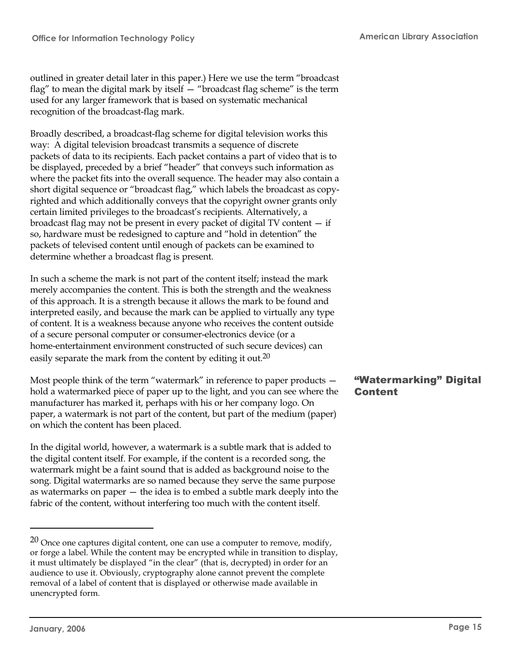outlined in greater detail later in this paper.) Here we use the term "broadcast flag" to mean the digital mark by itself — "broadcast flag scheme" is the term used for any larger framework that is based on systematic mechanical recognition of the broadcast-flag mark.

Broadly described, a broadcast-flag scheme for digital television works this way: A digital television broadcast transmits a sequence of discrete packets of data to its recipients. Each packet contains a part of video that is to be displayed, preceded by a brief "header" that conveys such information as where the packet fits into the overall sequence. The header may also contain a short digital sequence or "broadcast flag," which labels the broadcast as copyrighted and which additionally conveys that the copyright owner grants only certain limited privileges to the broadcast's recipients. Alternatively, a broadcast flag may not be present in every packet of digital TV content — if so, hardware must be redesigned to capture and "hold in detention" the packets of televised content until enough of packets can be examined to determine whether a broadcast flag is present.

In such a scheme the mark is not part of the content itself; instead the mark merely accompanies the content. This is both the strength and the weakness of this approach. It is a strength because it allows the mark to be found and interpreted easily, and because the mark can be applied to virtually any type of content. It is a weakness because anyone who receives the content outside of a secure personal computer or consumer-electronics device (or a home-entertainment environment constructed of such secure devices) can easily separate the mark from the content by editing it out.<sup>20</sup>

Most people think of the term "watermark" in reference to paper products hold a watermarked piece of paper up to the light, and you can see where the manufacturer has marked it, perhaps with his or her company logo. On paper, a watermark is not part of the content, but part of the medium (paper) on which the content has been placed.

In the digital world, however, a watermark is a subtle mark that is added to the digital content itself. For example, if the content is a recorded song, the watermark might be a faint sound that is added as background noise to the song. Digital watermarks are so named because they serve the same purpose as watermarks on paper — the idea is to embed a subtle mark deeply into the fabric of the content, without interfering too much with the content itself.

# "Watermarking" Digital Content

 $20$  Once one captures digital content, one can use a computer to remove, modify, or forge a label. While the content may be encrypted while in transition to display, it must ultimately be displayed "in the clear" (that is, decrypted) in order for an audience to use it. Obviously, cryptography alone cannot prevent the complete removal of a label of content that is displayed or otherwise made available in unencrypted form.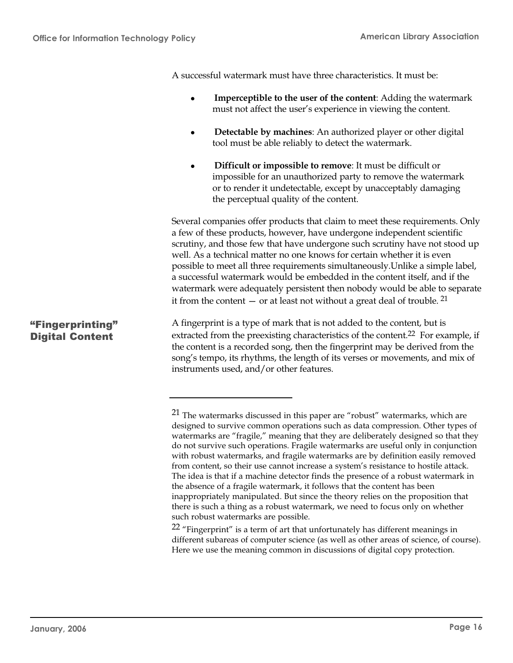A successful watermark must have three characteristics. It must be:

- **•** Imperceptible to the user of the content: Adding the watermark must not affect the user's experience in viewing the content.
- **Detectable by machines:** An authorized player or other digital tool must be able reliably to detect the watermark.
- **Difficult or impossible to remove:** It must be difficult or impossible for an unauthorized party to remove the watermark or to render it undetectable, except by unacceptably damaging the perceptual quality of the content.

Several companies offer products that claim to meet these requirements. Only a few of these products, however, have undergone independent scientific scrutiny, and those few that have undergone such scrutiny have not stood up well. As a technical matter no one knows for certain whether it is even possible to meet all three requirements simultaneously.Unlike a simple label, a successful watermark would be embedded in the content itself, and if the watermark were adequately persistent then nobody would be able to separate it from the content  $-$  or at least not without a great deal of trouble. <sup>21</sup>

A fingerprint is a type of mark that is not added to the content, but is extracted from the preexisting characteristics of the content.<sup>22</sup> For example, if the content is a recorded song, then the fingerprint may be derived from the song's tempo, its rhythms, the length of its verses or movements, and mix of instruments used, and/or other features.

 $22$  "Fingerprint" is a term of art that unfortunately has different meanings in different subareas of computer science (as well as other areas of science, of course). Here we use the meaning common in discussions of digital copy protection.

# "Fingerprinting" Digital Content

<sup>21</sup> The watermarks discussed in this paper are "robust" watermarks, which are designed to survive common operations such as data compression. Other types of watermarks are "fragile," meaning that they are deliberately designed so that they do not survive such operations. Fragile watermarks are useful only in conjunction with robust watermarks, and fragile watermarks are by definition easily removed from content, so their use cannot increase a system's resistance to hostile attack. The idea is that if a machine detector finds the presence of a robust watermark in the absence of a fragile watermark, it follows that the content has been inappropriately manipulated. But since the theory relies on the proposition that there is such a thing as a robust watermark, we need to focus only on whether such robust watermarks are possible.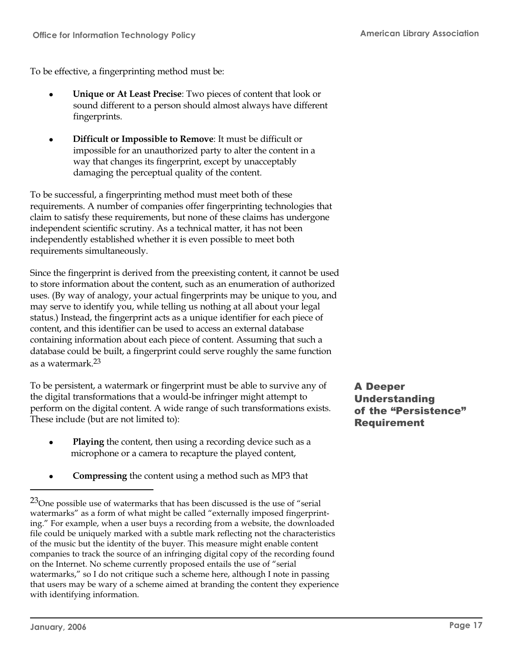To be effective, a fingerprinting method must be:

- **II Unique or At Least Precise:** Two pieces of content that look or sound different to a person should almost always have different fingerprints.
- **Difficult or Impossible to Remove:** It must be difficult or impossible for an unauthorized party to alter the content in a way that changes its fingerprint, except by unacceptably damaging the perceptual quality of the content.

To be successful, a fingerprinting method must meet both of these requirements. A number of companies offer fingerprinting technologies that claim to satisfy these requirements, but none of these claims has undergone independent scientific scrutiny. As a technical matter, it has not been independently established whether it is even possible to meet both requirements simultaneously.

Since the fingerprint is derived from the preexisting content, it cannot be used to store information about the content, such as an enumeration of authorized uses. (By way of analogy, your actual fingerprints may be unique to you, and may serve to identify you, while telling us nothing at all about your legal status.) Instead, the fingerprint acts as a unique identifier for each piece of content, and this identifier can be used to access an external database containing information about each piece of content. Assuming that such a database could be built, a fingerprint could serve roughly the same function as a watermark.<sup>23</sup>

To be persistent, a watermark or fingerprint must be able to survive any of the digital transformations that a would-be infringer might attempt to perform on the digital content. A wide range of such transformations exists. These include (but are not limited to):

- **Playing** the content, then using a recording device such as a microphone or a camera to recapture the played content,
- **Compressing** the content using a method such as MP3 that

A Deeper Understanding of the "Persistence" Requirement

 $^{23}$ One possible use of watermarks that has been discussed is the use of "serial" watermarks" as a form of what might be called "externally imposed fingerprinting." For example, when a user buys a recording from a website, the downloaded file could be uniquely marked with a subtle mark reflecting not the characteristics of the music but the identity of the buyer. This measure might enable content companies to track the source of an infringing digital copy of the recording found on the Internet. No scheme currently proposed entails the use of "serial watermarks," so I do not critique such a scheme here, although I note in passing that users may be wary of a scheme aimed at branding the content they experience with identifying information.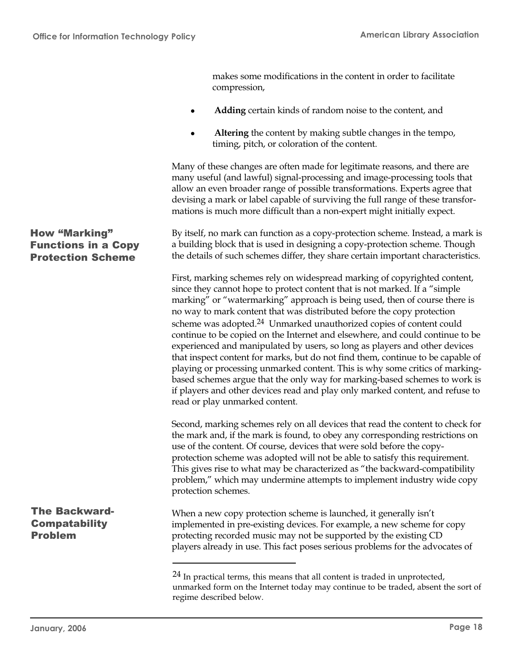makes some modifications in the content in order to facilitate

<sup>l</sup> **Adding** certain kinds of random noise to the content, and <sup>l</sup> **Altering** the content by making subtle changes in the tempo, timing, pitch, or coloration of the content. Many of these changes are often made for legitimate reasons, and there are many useful (and lawful) signal-processing and image-processing tools that allow an even broader range of possible transformations. Experts agree that devising a mark or label capable of surviving the full range of these transformations is much more difficult than a non-expert might initially expect. By itself, no mark can function as a copy-protection scheme. Instead, a mark is a building block that is used in designing a copy-protection scheme. Though the details of such schemes differ, they share certain important characteristics. First, marking schemes rely on widespread marking of copyrighted content, since they cannot hope to protect content that is not marked. If a "simple marking" or "watermarking" approach is being used, then of course there is no way to mark content that was distributed before the copy protection scheme was adopted.<sup>24</sup> Unmarked unauthorized copies of content could continue to be copied on the Internet and elsewhere, and could continue to be experienced and manipulated by users, so long as players and other devices that inspect content for marks, but do not find them, continue to be capable of playing or processing unmarked content. This is why some critics of markingbased schemes argue that the only way for marking-based schemes to work is if players and other devices read and play only marked content, and refuse to read or play unmarked content. Second, marking schemes rely on all devices that read the content to check for the mark and, if the mark is found, to obey any corresponding restrictions on use of the content. Of course, devices that were sold before the copyprotection scheme was adopted will not be able to satisfy this requirement. This gives rise to what may be characterized as "the backward-compatibility problem," which may undermine attempts to implement industry wide copy protection schemes. When a new copy protection scheme is launched, it generally isn't implemented in pre-existing devices. For example, a new scheme for copy protecting recorded music may not be supported by the existing CD players already in use. This fact poses serious problems for the advocates of  $24$  In practical terms, this means that all content is traded in unprotected, unmarked form on the Internet today may continue to be traded, absent the sort of regime described below. How "Marking" Functions in a Copy Protection Scheme The Backward-**Compatability** Problem

compression,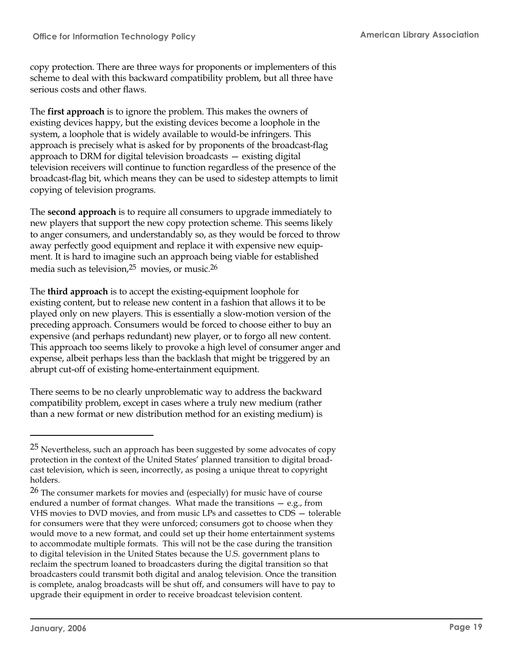copy protection. There are three ways for proponents or implementers of this scheme to deal with this backward compatibility problem, but all three have serious costs and other flaws.

The **first approach** is to ignore the problem. This makes the owners of existing devices happy, but the existing devices become a loophole in the system, a loophole that is widely available to would-be infringers. This approach is precisely what is asked for by proponents of the broadcast-flag approach to DRM for digital television broadcasts — existing digital television receivers will continue to function regardless of the presence of the broadcast-flag bit, which means they can be used to sidestep attempts to limit copying of television programs.

The **second approach** is to require all consumers to upgrade immediately to new players that support the new copy protection scheme. This seems likely to anger consumers, and understandably so, as they would be forced to throw away perfectly good equipment and replace it with expensive new equipment. It is hard to imagine such an approach being viable for established media such as television, $25$  movies, or music. $26$ 

The **third approach** is to accept the existing-equipment loophole for existing content, but to release new content in a fashion that allows it to be played only on new players. This is essentially a slow-motion version of the preceding approach. Consumers would be forced to choose either to buy an expensive (and perhaps redundant) new player, or to forgo all new content. This approach too seems likely to provoke a high level of consumer anger and expense, albeit perhaps less than the backlash that might be triggered by an abrupt cut-off of existing home-entertainment equipment.

There seems to be no clearly unproblematic way to address the backward compatibility problem, except in cases where a truly new medium (rather than a new format or new distribution method for an existing medium) is

 $25$  Nevertheless, such an approach has been suggested by some advocates of copy protection in the context of the United States' planned transition to digital broadcast television, which is seen, incorrectly, as posing a unique threat to copyright holders.

<sup>26</sup> The consumer markets for movies and (especially) for music have of course endured a number of format changes. What made the transitions — e.g., from VHS movies to DVD movies, and from music LPs and cassettes to CDS — tolerable for consumers were that they were unforced; consumers got to choose when they would move to a new format, and could set up their home entertainment systems to accommodate multiple formats. This will not be the case during the transition to digital television in the United States because the U.S. government plans to reclaim the spectrum loaned to broadcasters during the digital transition so that broadcasters could transmit both digital and analog television. Once the transition is complete, analog broadcasts will be shut off, and consumers will have to pay to upgrade their equipment in order to receive broadcast television content.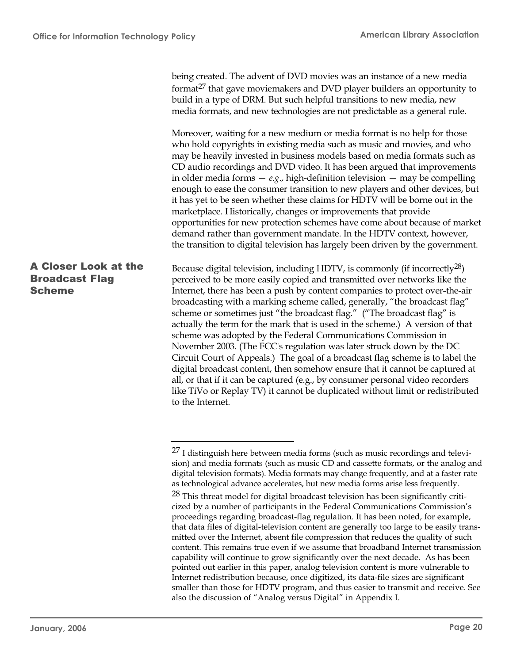being created. The advent of DVD movies was an instance of a new media format $27$  that gave moviemakers and DVD player builders an opportunity to build in a type of DRM. But such helpful transitions to new media, new media formats, and new technologies are not predictable as a general rule. Moreover, waiting for a new medium or media format is no help for those who hold copyrights in existing media such as music and movies, and who may be heavily invested in business models based on media formats such as CD audio recordings and DVD video. It has been argued that improvements in older media forms — *e.g*., high-definition television — may be compelling enough to ease the consumer transition to new players and other devices, but it has yet to be seen whether these claims for HDTV will be borne out in the marketplace. Historically, changes or improvements that provide opportunities for new protection schemes have come about because of market demand rather than government mandate. In the HDTV context, however, the transition to digital television has largely been driven by the government. Because digital television, including HDTV, is commonly (if incorrectly<sup>28</sup>) perceived to be more easily copied and transmitted over networks like the Internet, there has been a push by content companies to protect over-the-air broadcasting with a marking scheme called, generally, "the broadcast flag" scheme or sometimes just "the broadcast flag." ("The broadcast flag" is actually the term for the mark that is used in the scheme.) A version of that scheme was adopted by the Federal Communications Commission in November 2003. (The FCC's regulation was later struck down by the DC Circuit Court of Appeals.) The goal of a broadcast flag scheme is to label the digital broadcast content, then somehow ensure that it cannot be captured at all, or that if it can be captured (e.g., by consumer personal video recorders like TiVo or Replay TV) it cannot be duplicated without limit or redistributed to the Internet. A Closer Look at the Broadcast Flag Scheme

 $27$  I distinguish here between media forms (such as music recordings and television) and media formats (such as music CD and cassette formats, or the analog and digital television formats). Media formats may change frequently, and at a faster rate as technological advance accelerates, but new media forms arise less frequently.

 $28$  This threat model for digital broadcast television has been significantly criticized by a number of participants in the Federal Communications Commission's proceedings regarding broadcast-flag regulation. It has been noted, for example, that data files of digital-television content are generally too large to be easily transmitted over the Internet, absent file compression that reduces the quality of such content. This remains true even if we assume that broadband Internet transmission capability will continue to grow significantly over the next decade. As has been pointed out earlier in this paper, analog television content is more vulnerable to Internet redistribution because, once digitized, its data-file sizes are significant smaller than those for HDTV program, and thus easier to transmit and receive. See also the discussion of "Analog versus Digital" in Appendix I.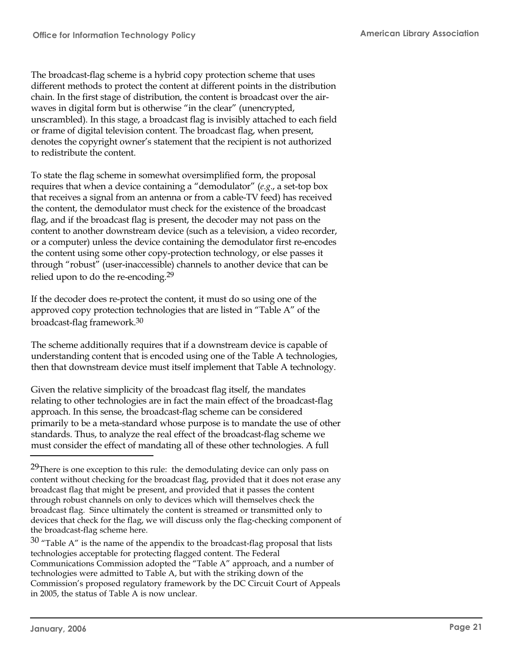The broadcast-flag scheme is a hybrid copy protection scheme that uses different methods to protect the content at different points in the distribution chain. In the first stage of distribution, the content is broadcast over the airwaves in digital form but is otherwise "in the clear" (unencrypted, unscrambled). In this stage, a broadcast flag is invisibly attached to each field or frame of digital television content. The broadcast flag, when present, denotes the copyright owner's statement that the recipient is not authorized to redistribute the content.

To state the flag scheme in somewhat oversimplified form, the proposal requires that when a device containing a "demodulator" (*e.g*., a set-top box that receives a signal from an antenna or from a cable-TV feed) has received the content, the demodulator must check for the existence of the broadcast flag, and if the broadcast flag is present, the decoder may not pass on the content to another downstream device (such as a television, a video recorder, or a computer) unless the device containing the demodulator first re-encodes the content using some other copy-protection technology, or else passes it through "robust" (user-inaccessible) channels to another device that can be relied upon to do the re-encoding.<sup>29</sup>

If the decoder does re-protect the content, it must do so using one of the approved copy protection technologies that are listed in "Table A" of the broadcast-flag framework.<sup>30</sup>

The scheme additionally requires that if a downstream device is capable of understanding content that is encoded using one of the Table A technologies, then that downstream device must itself implement that Table A technology.

Given the relative simplicity of the broadcast flag itself, the mandates relating to other technologies are in fact the main effect of the broadcast-flag approach. In this sense, the broadcast-flag scheme can be considered primarily to be a meta-standard whose purpose is to mandate the use of other standards. Thus, to analyze the real effect of the broadcast-flag scheme we must consider the effect of mandating all of these other technologies. A full

<sup>&</sup>lt;sup>29</sup>There is one exception to this rule: the demodulating device can only pass on content without checking for the broadcast flag, provided that it does not erase any broadcast flag that might be present, and provided that it passes the content through robust channels on only to devices which will themselves check the broadcast flag. Since ultimately the content is streamed or transmitted only to devices that check for the flag, we will discuss only the flag-checking component of the broadcast-flag scheme here.

 $30$  "Table A" is the name of the appendix to the broadcast-flag proposal that lists technologies acceptable for protecting flagged content. The Federal Communications Commission adopted the "Table A" approach, and a number of technologies were admitted to Table A, but with the striking down of the Commission's proposed regulatory framework by the DC Circuit Court of Appeals in 2005, the status of Table A is now unclear.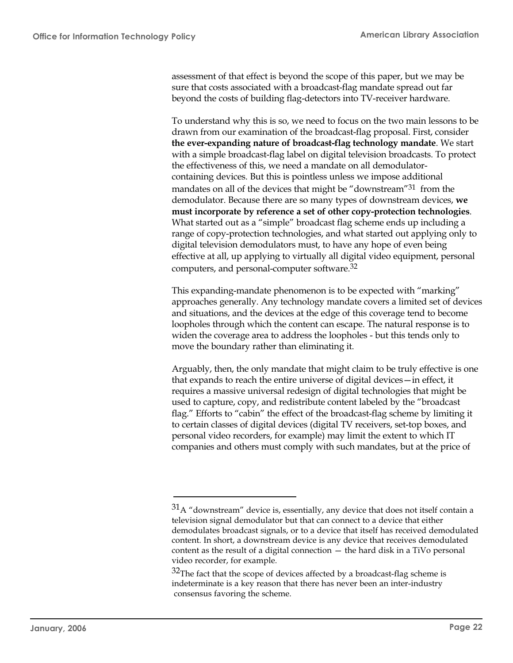assessment of that effect is beyond the scope of this paper, but we may be sure that costs associated with a broadcast-flag mandate spread out far beyond the costs of building flag-detectors into TV-receiver hardware.

To understand why this is so, we need to focus on the two main lessons to be drawn from our examination of the broadcast-flag proposal. First, consider **the ever-expanding nature of broadcast-flag technology mandate**. We start with a simple broadcast-flag label on digital television broadcasts. To protect the effectiveness of this, we need a mandate on all demodulatorcontaining devices. But this is pointless unless we impose additional mandates on all of the devices that might be "downstream"<sup>31</sup> from the demodulator. Because there are so many types of downstream devices, **we must incorporate by reference a set of other copy-protection technologies**. What started out as a "simple" broadcast flag scheme ends up including a range of copy-protection technologies, and what started out applying only to digital television demodulators must, to have any hope of even being effective at all, up applying to virtually all digital video equipment, personal computers, and personal-computer software.<sup>32</sup>

This expanding-mandate phenomenon is to be expected with "marking" approaches generally. Any technology mandate covers a limited set of devices and situations, and the devices at the edge of this coverage tend to become loopholes through which the content can escape. The natural response is to widen the coverage area to address the loopholes - but this tends only to move the boundary rather than eliminating it.

Arguably, then, the only mandate that might claim to be truly effective is one that expands to reach the entire universe of digital devices—in effect, it requires a massive universal redesign of digital technologies that might be used to capture, copy, and redistribute content labeled by the "broadcast flag." Efforts to "cabin" the effect of the broadcast-flag scheme by limiting it to certain classes of digital devices (digital TV receivers, set-top boxes, and personal video recorders, for example) may limit the extent to which IT companies and others must comply with such mandates, but at the price of

 $31A$  "downstream" device is, essentially, any device that does not itself contain a television signal demodulator but that can connect to a device that either demodulates broadcast signals, or to a device that itself has received demodulated content. In short, a downstream device is any device that receives demodulated content as the result of a digital connection  $-$  the hard disk in a TiVo personal video recorder, for example.

 $32$ The fact that the scope of devices affected by a broadcast-flag scheme is indeterminate is a key reason that there has never been an inter-industry consensus favoring the scheme.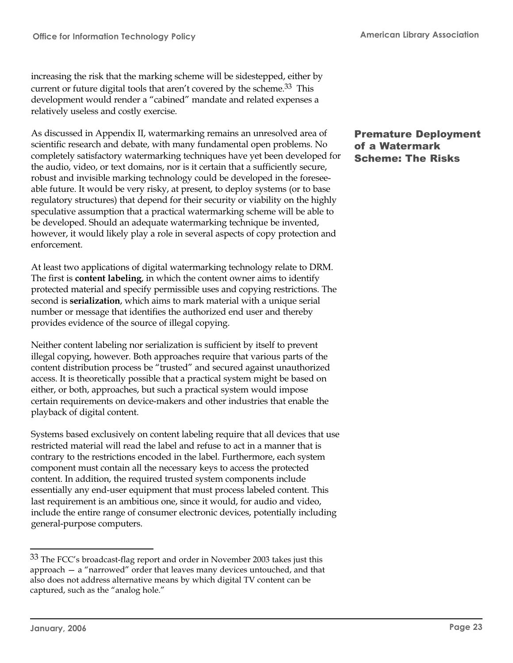increasing the risk that the marking scheme will be sidestepped, either by current or future digital tools that aren't covered by the scheme.<sup>33</sup> This development would render a "cabined" mandate and related expenses a relatively useless and costly exercise.

As discussed in Appendix II, watermarking remains an unresolved area of scientific research and debate, with many fundamental open problems. No completely satisfactory watermarking techniques have yet been developed for the audio, video, or text domains, nor is it certain that a sufficiently secure, robust and invisible marking technology could be developed in the foreseeable future. It would be very risky, at present, to deploy systems (or to base regulatory structures) that depend for their security or viability on the highly speculative assumption that a practical watermarking scheme will be able to be developed. Should an adequate watermarking technique be invented, however, it would likely play a role in several aspects of copy protection and enforcement.

At least two applications of digital watermarking technology relate to DRM. The first is **content labeling**, in which the content owner aims to identify protected material and specify permissible uses and copying restrictions. The second is **serialization**, which aims to mark material with a unique serial number or message that identifies the authorized end user and thereby provides evidence of the source of illegal copying.

Neither content labeling nor serialization is sufficient by itself to prevent illegal copying, however. Both approaches require that various parts of the content distribution process be "trusted" and secured against unauthorized access. It is theoretically possible that a practical system might be based on either, or both, approaches, but such a practical system would impose certain requirements on device-makers and other industries that enable the playback of digital content.

Systems based exclusively on content labeling require that all devices that use restricted material will read the label and refuse to act in a manner that is contrary to the restrictions encoded in the label. Furthermore, each system component must contain all the necessary keys to access the protected content. In addition, the required trusted system components include essentially any end-user equipment that must process labeled content. This last requirement is an ambitious one, since it would, for audio and video, include the entire range of consumer electronic devices, potentially including general-purpose computers.

#### Premature Deployment of a Watermark Scheme: The Risks

<sup>&</sup>lt;sup>33</sup> The FCC's broadcast-flag report and order in November 2003 takes just this approach — a "narrowed" order that leaves many devices untouched, and that also does not address alternative means by which digital TV content can be captured, such as the "analog hole."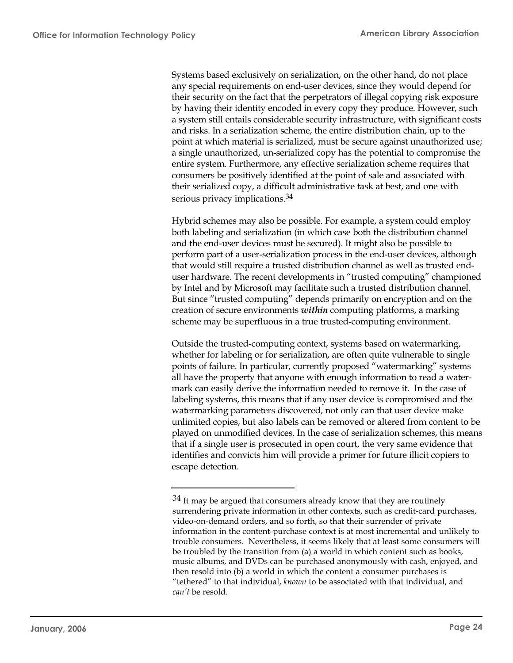Systems based exclusively on serialization, on the other hand, do not place any special requirements on end-user devices, since they would depend for their security on the fact that the perpetrators of illegal copying risk exposure by having their identity encoded in every copy they produce. However, such a system still entails considerable security infrastructure, with significant costs and risks. In a serialization scheme, the entire distribution chain, up to the point at which material is serialized, must be secure against unauthorized use; a single unauthorized, un-serialized copy has the potential to compromise the entire system. Furthermore, any effective serialization scheme requires that consumers be positively identified at the point of sale and associated with their serialized copy, a difficult administrative task at best, and one with serious privacy implications.<sup>34</sup>

Hybrid schemes may also be possible. For example, a system could employ both labeling and serialization (in which case both the distribution channel and the end-user devices must be secured). It might also be possible to perform part of a user-serialization process in the end-user devices, although that would still require a trusted distribution channel as well as trusted enduser hardware. The recent developments in "trusted computing" championed by Intel and by Microsoft may facilitate such a trusted distribution channel. But since "trusted computing" depends primarily on encryption and on the creation of secure environments *within* computing platforms, a marking scheme may be superfluous in a true trusted-computing environment.

Outside the trusted-computing context, systems based on watermarking, whether for labeling or for serialization, are often quite vulnerable to single points of failure. In particular, currently proposed "watermarking" systems all have the property that anyone with enough information to read a watermark can easily derive the information needed to remove it. In the case of labeling systems, this means that if any user device is compromised and the watermarking parameters discovered, not only can that user device make unlimited copies, but also labels can be removed or altered from content to be played on unmodified devices. In the case of serialization schemes, this means that if a single user is prosecuted in open court, the very same evidence that identifies and convicts him will provide a primer for future illicit copiers to escape detection.

 $34$  It may be argued that consumers already know that they are routinely surrendering private information in other contexts, such as credit-card purchases, video-on-demand orders, and so forth, so that their surrender of private information in the content-purchase context is at most incremental and unlikely to trouble consumers. Nevertheless, it seems likely that at least some consumers will be troubled by the transition from (a) a world in which content such as books, music albums, and DVDs can be purchased anonymously with cash, enjoyed, and then resold into (b) a world in which the content a consumer purchases is "tethered" to that individual, *known* to be associated with that individual, and *can't* be resold.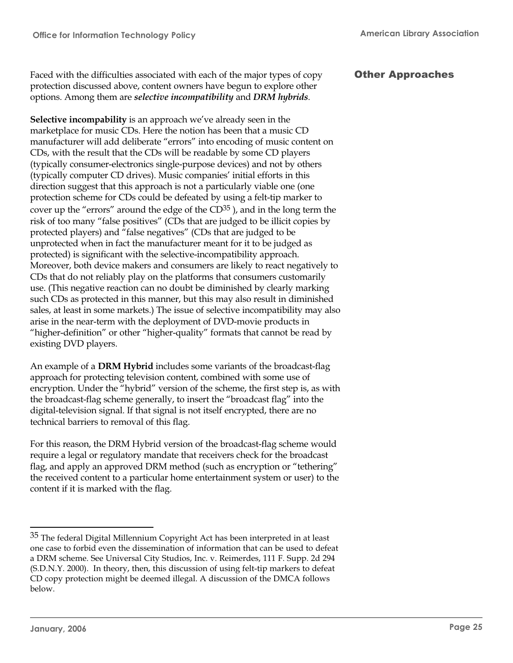Faced with the difficulties associated with each of the major types of copy protection discussed above, content owners have begun to explore other options. Among them are *selective incompatibility* and *DRM hybrids*.

**Selective incompability** is an approach we've already seen in the marketplace for music CDs. Here the notion has been that a music CD manufacturer will add deliberate "errors" into encoding of music content on CDs, with the result that the CDs will be readable by some CD players (typically consumer-electronics single-purpose devices) and not by others (typically computer CD drives). Music companies' initial efforts in this direction suggest that this approach is not a particularly viable one (one protection scheme for CDs could be defeated by using a felt-tip marker to cover up the "errors" around the edge of the  $CD^{35}$ ), and in the long term the risk of too many "false positives" (CDs that are judged to be illicit copies by protected players) and "false negatives" (CDs that are judged to be unprotected when in fact the manufacturer meant for it to be judged as protected) is significant with the selective-incompatibility approach. Moreover, both device makers and consumers are likely to react negatively to CDs that do not reliably play on the platforms that consumers customarily use. (This negative reaction can no doubt be diminished by clearly marking such CDs as protected in this manner, but this may also result in diminished sales, at least in some markets.) The issue of selective incompatibility may also arise in the near-term with the deployment of DVD-movie products in "higher-definition" or other "higher-quality" formats that cannot be read by existing DVD players.

An example of a **DRM Hybrid** includes some variants of the broadcast-flag approach for protecting television content, combined with some use of encryption. Under the "hybrid" version of the scheme, the first step is, as with the broadcast-flag scheme generally, to insert the "broadcast flag" into the digital-television signal. If that signal is not itself encrypted, there are no technical barriers to removal of this flag.

For this reason, the DRM Hybrid version of the broadcast-flag scheme would require a legal or regulatory mandate that receivers check for the broadcast flag, and apply an approved DRM method (such as encryption or "tethering" the received content to a particular home entertainment system or user) to the content if it is marked with the flag.

# Other Approaches

 $35$  The federal Digital Millennium Copyright Act has been interpreted in at least one case to forbid even the dissemination of information that can be used to defeat a DRM scheme. See Universal City Studios, Inc. v. Reimerdes, 111 F. Supp. 2d 294 (S.D.N.Y. 2000). In theory, then, this discussion of using felt-tip markers to defeat CD copy protection might be deemed illegal. A discussion of the DMCA follows below.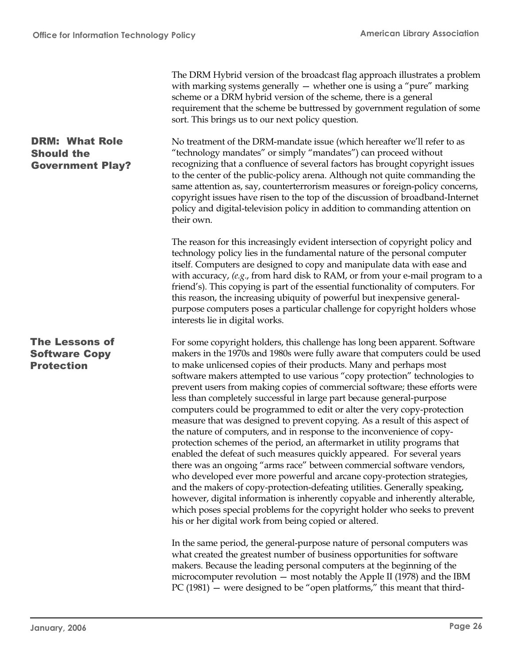|                                                                       | The DRM Hybrid version of the broadcast flag approach illustrates a problem<br>with marking systems generally $-$ whether one is using a "pure" marking<br>scheme or a DRM hybrid version of the scheme, there is a general<br>requirement that the scheme be buttressed by government regulation of some<br>sort. This brings us to our next policy question.                                                                                                                                                                                                                                                                                                                                                                                                                                                                                                                                                                                                                                                                                                                                                                                                                                                                                                                                                               |
|-----------------------------------------------------------------------|------------------------------------------------------------------------------------------------------------------------------------------------------------------------------------------------------------------------------------------------------------------------------------------------------------------------------------------------------------------------------------------------------------------------------------------------------------------------------------------------------------------------------------------------------------------------------------------------------------------------------------------------------------------------------------------------------------------------------------------------------------------------------------------------------------------------------------------------------------------------------------------------------------------------------------------------------------------------------------------------------------------------------------------------------------------------------------------------------------------------------------------------------------------------------------------------------------------------------------------------------------------------------------------------------------------------------|
| <b>DRM: What Role</b><br><b>Should the</b><br><b>Government Play?</b> | No treatment of the DRM-mandate issue (which hereafter we'll refer to as<br>"technology mandates" or simply "mandates") can proceed without<br>recognizing that a confluence of several factors has brought copyright issues<br>to the center of the public-policy arena. Although not quite commanding the<br>same attention as, say, counterterrorism measures or foreign-policy concerns,<br>copyright issues have risen to the top of the discussion of broadband-Internet<br>policy and digital-television policy in addition to commanding attention on<br>their own.                                                                                                                                                                                                                                                                                                                                                                                                                                                                                                                                                                                                                                                                                                                                                  |
|                                                                       | The reason for this increasingly evident intersection of copyright policy and<br>technology policy lies in the fundamental nature of the personal computer<br>itself. Computers are designed to copy and manipulate data with ease and<br>with accuracy, (e.g., from hard disk to RAM, or from your e-mail program to a<br>friend's). This copying is part of the essential functionality of computers. For<br>this reason, the increasing ubiquity of powerful but inexpensive general-<br>purpose computers poses a particular challenge for copyright holders whose<br>interests lie in digital works.                                                                                                                                                                                                                                                                                                                                                                                                                                                                                                                                                                                                                                                                                                                    |
| <b>The Lessons of</b><br><b>Software Copy</b><br><b>Protection</b>    | For some copyright holders, this challenge has long been apparent. Software<br>makers in the 1970s and 1980s were fully aware that computers could be used<br>to make unlicensed copies of their products. Many and perhaps most<br>software makers attempted to use various "copy protection" technologies to<br>prevent users from making copies of commercial software; these efforts were<br>less than completely successful in large part because general-purpose<br>computers could be programmed to edit or alter the very copy-protection<br>measure that was designed to prevent copying. As a result of this aspect of<br>the nature of computers, and in response to the inconvenience of copy-<br>protection schemes of the period, an aftermarket in utility programs that<br>enabled the defeat of such measures quickly appeared. For several years<br>there was an ongoing "arms race" between commercial software vendors,<br>who developed ever more powerful and arcane copy-protection strategies,<br>and the makers of copy-protection-defeating utilities. Generally speaking,<br>however, digital information is inherently copyable and inherently alterable,<br>which poses special problems for the copyright holder who seeks to prevent<br>his or her digital work from being copied or altered. |
|                                                                       | In the same period, the general-purpose nature of personal computers was<br>what created the greatest number of business opportunities for software<br>makers. Because the leading personal computers at the beginning of the<br>microcomputer revolution $-$ most notably the Apple II (1978) and the IBM<br>$PC(1981)$ — were designed to be "open platforms," this meant that third-                                                                                                                                                                                                                                                                                                                                                                                                                                                                                                                                                                                                                                                                                                                                                                                                                                                                                                                                      |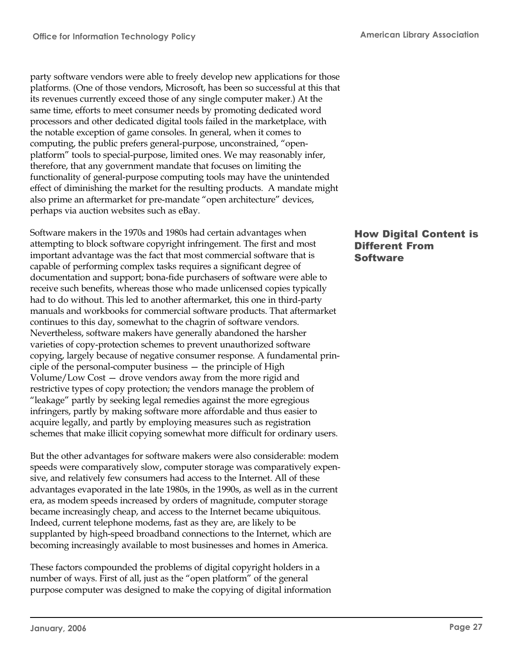party software vendors were able to freely develop new applications for those platforms. (One of those vendors, Microsoft, has been so successful at this that its revenues currently exceed those of any single computer maker.) At the same time, efforts to meet consumer needs by promoting dedicated word processors and other dedicated digital tools failed in the marketplace, with the notable exception of game consoles. In general, when it comes to computing, the public prefers general-purpose, unconstrained, "openplatform" tools to special-purpose, limited ones. We may reasonably infer, therefore, that any government mandate that focuses on limiting the functionality of general-purpose computing tools may have the unintended effect of diminishing the market for the resulting products. A mandate might also prime an aftermarket for pre-mandate "open architecture" devices, perhaps via auction websites such as eBay.

Software makers in the 1970s and 1980s had certain advantages when attempting to block software copyright infringement. The first and most important advantage was the fact that most commercial software that is capable of performing complex tasks requires a significant degree of documentation and support; bona-fide purchasers of software were able to receive such benefits, whereas those who made unlicensed copies typically had to do without. This led to another aftermarket, this one in third-party manuals and workbooks for commercial software products. That aftermarket continues to this day, somewhat to the chagrin of software vendors. Nevertheless, software makers have generally abandoned the harsher varieties of copy-protection schemes to prevent unauthorized software copying, largely because of negative consumer response. A fundamental principle of the personal-computer business — the principle of High Volume/Low Cost — drove vendors away from the more rigid and restrictive types of copy protection; the vendors manage the problem of "leakage" partly by seeking legal remedies against the more egregious infringers, partly by making software more affordable and thus easier to acquire legally, and partly by employing measures such as registration schemes that make illicit copying somewhat more difficult for ordinary users.

But the other advantages for software makers were also considerable: modem speeds were comparatively slow, computer storage was comparatively expensive, and relatively few consumers had access to the Internet. All of these advantages evaporated in the late 1980s, in the 1990s, as well as in the current era, as modem speeds increased by orders of magnitude, computer storage became increasingly cheap, and access to the Internet became ubiquitous. Indeed, current telephone modems, fast as they are, are likely to be supplanted by high-speed broadband connections to the Internet, which are becoming increasingly available to most businesses and homes in America.

These factors compounded the problems of digital copyright holders in a number of ways. First of all, just as the "open platform" of the general purpose computer was designed to make the copying of digital information

#### How Digital Content is Different From **Software**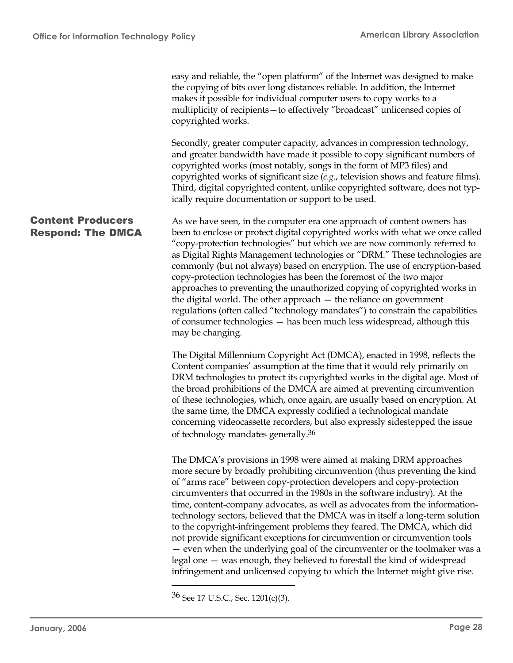easy and reliable, the "open platform" of the Internet was designed to make the copying of bits over long distances reliable. In addition, the Internet makes it possible for individual computer users to copy works to a multiplicity of recipients—to effectively "broadcast" unlicensed copies of copyrighted works.

Secondly, greater computer capacity, advances in compression technology, and greater bandwidth have made it possible to copy significant numbers of copyrighted works (most notably, songs in the form of MP3 files) and copyrighted works of significant size (*e.g*., television shows and feature films). Third, digital copyrighted content, unlike copyrighted software, does not typically require documentation or support to be used.

As we have seen, in the computer era one approach of content owners has been to enclose or protect digital copyrighted works with what we once called "copy-protection technologies" but which we are now commonly referred to as Digital Rights Management technologies or "DRM." These technologies are commonly (but not always) based on encryption. The use of encryption-based copy-protection technologies has been the foremost of the two major approaches to preventing the unauthorized copying of copyrighted works in the digital world. The other approach — the reliance on government regulations (often called "technology mandates") to constrain the capabilities of consumer technologies — has been much less widespread, although this may be changing. Content Producers Respond: The DMCA

> The Digital Millennium Copyright Act (DMCA), enacted in 1998, reflects the Content companies' assumption at the time that it would rely primarily on DRM technologies to protect its copyrighted works in the digital age. Most of the broad prohibitions of the DMCA are aimed at preventing circumvention of these technologies, which, once again, are usually based on encryption. At the same time, the DMCA expressly codified a technological mandate concerning videocassette recorders, but also expressly sidestepped the issue of technology mandates generally.<sup>36</sup>

> The DMCA's provisions in 1998 were aimed at making DRM approaches more secure by broadly prohibiting circumvention (thus preventing the kind of "arms race" between copy-protection developers and copy-protection circumventers that occurred in the 1980s in the software industry). At the time, content-company advocates, as well as advocates from the informationtechnology sectors, believed that the DMCA was in itself a long-term solution to the copyright-infringement problems they feared. The DMCA, which did not provide significant exceptions for circumvention or circumvention tools — even when the underlying goal of the circumventer or the toolmaker was a legal one — was enough, they believed to forestall the kind of widespread infringement and unlicensed copying to which the Internet might give rise.

<sup>36</sup> See 17 U.S.C., Sec. 1201(c)(3).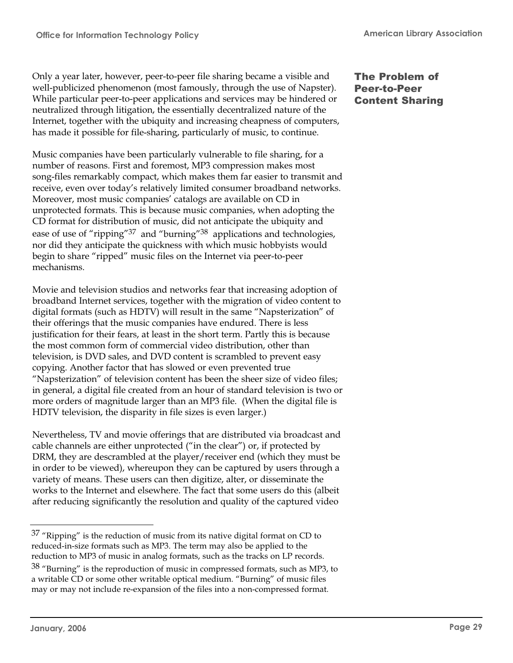Only a year later, however, peer-to-peer file sharing became a visible and well-publicized phenomenon (most famously, through the use of Napster). While particular peer-to-peer applications and services may be hindered or neutralized through litigation, the essentially decentralized nature of the Internet, together with the ubiquity and increasing cheapness of computers, has made it possible for file-sharing, particularly of music, to continue.

Music companies have been particularly vulnerable to file sharing, for a number of reasons. First and foremost, MP3 compression makes most song-files remarkably compact, which makes them far easier to transmit and receive, even over today's relatively limited consumer broadband networks. Moreover, most music companies' catalogs are available on CD in unprotected formats. This is because music companies, when adopting the CD format for distribution of music, did not anticipate the ubiquity and ease of use of "ripping"<sup>37</sup> and "burning"<sup>38</sup> applications and technologies, nor did they anticipate the quickness with which music hobbyists would begin to share "ripped" music files on the Internet via peer-to-peer mechanisms.

Movie and television studios and networks fear that increasing adoption of broadband Internet services, together with the migration of video content to digital formats (such as HDTV) will result in the same "Napsterization" of their offerings that the music companies have endured. There is less justification for their fears, at least in the short term. Partly this is because the most common form of commercial video distribution, other than television, is DVD sales, and DVD content is scrambled to prevent easy copying. Another factor that has slowed or even prevented true "Napsterization" of television content has been the sheer size of video files; in general, a digital file created from an hour of standard television is two or more orders of magnitude larger than an MP3 file. (When the digital file is HDTV television, the disparity in file sizes is even larger.)

Nevertheless, TV and movie offerings that are distributed via broadcast and cable channels are either unprotected ("in the clear") or, if protected by DRM, they are descrambled at the player/receiver end (which they must be in order to be viewed), whereupon they can be captured by users through a variety of means. These users can then digitize, alter, or disseminate the works to the Internet and elsewhere. The fact that some users do this (albeit after reducing significantly the resolution and quality of the captured video

## The Problem of Peer-to-Peer Content Sharing

 $37$  "Ripping" is the reduction of music from its native digital format on CD to reduced-in-size formats such as MP3. The term may also be applied to the reduction to MP3 of music in analog formats, such as the tracks on LP records.

 $38$  "Burning" is the reproduction of music in compressed formats, such as MP3, to a writable CD or some other writable optical medium. "Burning" of music files may or may not include re-expansion of the files into a non-compressed format.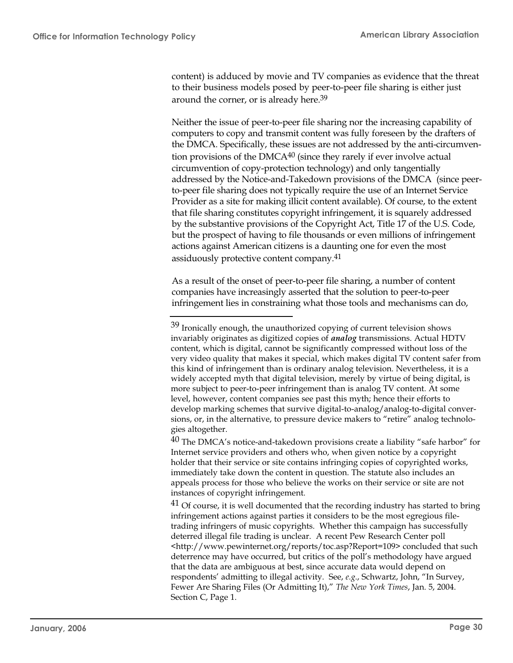content) is adduced by movie and TV companies as evidence that the threat to their business models posed by peer-to-peer file sharing is either just around the corner, or is already here.<sup>39</sup>

Neither the issue of peer-to-peer file sharing nor the increasing capability of computers to copy and transmit content was fully foreseen by the drafters of the DMCA. Specifically, these issues are not addressed by the anti-circumvention provisions of the DMCA<sup>40</sup> (since they rarely if ever involve actual circumvention of copy-protection technology) and only tangentially addressed by the Notice-and-Takedown provisions of the DMCA (since peerto-peer file sharing does not typically require the use of an Internet Service Provider as a site for making illicit content available). Of course, to the extent that file sharing constitutes copyright infringement, it is squarely addressed by the substantive provisions of the Copyright Act, Title 17 of the U.S. Code, but the prospect of having to file thousands or even millions of infringement actions against American citizens is a daunting one for even the most assiduously protective content company.<sup>41</sup>

As a result of the onset of peer-to-peer file sharing, a number of content companies have increasingly asserted that the solution to peer-to-peer infringement lies in constraining what those tools and mechanisms can do,

 $40$  The DMCA's notice-and-takedown provisions create a liability "safe harbor" for Internet service providers and others who, when given notice by a copyright holder that their service or site contains infringing copies of copyrighted works, immediately take down the content in question. The statute also includes an appeals process for those who believe the works on their service or site are not instances of copyright infringement.

 $^{41}$  Of course, it is well documented that the recording industry has started to bring infringement actions against parties it considers to be the most egregious filetrading infringers of music copyrights. Whether this campaign has successfully deterred illegal file trading is unclear. A recent Pew Research Center poll <http://www.pewinternet.org/reports/toc.asp?Report=109> concluded that such deterrence may have occurred, but critics of the poll's methodology have argued that the data are ambiguous at best, since accurate data would depend on respondents' admitting to illegal activity. See, *e.g*., Schwartz, John, "In Survey, Fewer Are Sharing Files (Or Admitting It)," *The New York Times*, Jan. 5, 2004. Section C, Page 1.

 $39$  Ironically enough, the unauthorized copying of current television shows invariably originates as digitized copies of *analog* transmissions. Actual HDTV content, which is digital, cannot be significantly compressed without loss of the very video quality that makes it special, which makes digital TV content safer from this kind of infringement than is ordinary analog television. Nevertheless, it is a widely accepted myth that digital television, merely by virtue of being digital, is more subject to peer-to-peer infringement than is analog TV content. At some level, however, content companies see past this myth; hence their efforts to develop marking schemes that survive digital-to-analog/analog-to-digital conversions, or, in the alternative, to pressure device makers to "retire" analog technologies altogether.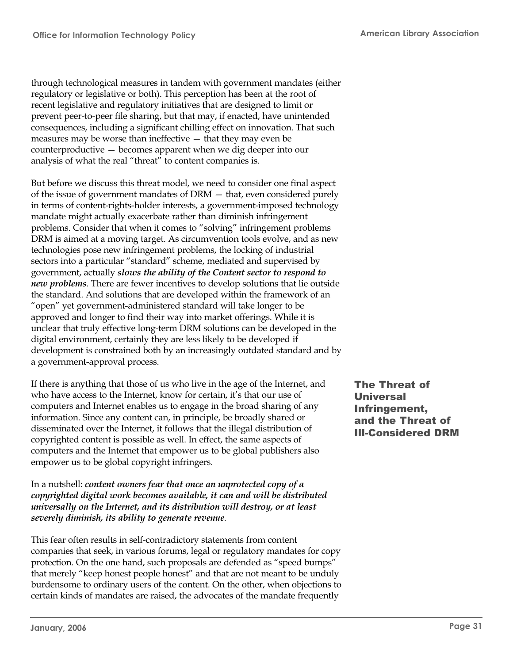through technological measures in tandem with government mandates (either regulatory or legislative or both). This perception has been at the root of recent legislative and regulatory initiatives that are designed to limit or prevent peer-to-peer file sharing, but that may, if enacted, have unintended consequences, including a significant chilling effect on innovation. That such measures may be worse than ineffective — that they may even be counterproductive — becomes apparent when we dig deeper into our analysis of what the real "threat" to content companies is.

But before we discuss this threat model, we need to consider one final aspect of the issue of government mandates of DRM — that, even considered purely in terms of content-rights-holder interests, a government-imposed technology mandate might actually exacerbate rather than diminish infringement problems. Consider that when it comes to "solving" infringement problems DRM is aimed at a moving target. As circumvention tools evolve, and as new technologies pose new infringement problems, the locking of industrial sectors into a particular "standard" scheme, mediated and supervised by government, actually *slows the ability of the Content sector to respond to new problems*. There are fewer incentives to develop solutions that lie outside the standard. And solutions that are developed within the framework of an "open" yet government-administered standard will take longer to be approved and longer to find their way into market offerings. While it is unclear that truly effective long-term DRM solutions can be developed in the digital environment, certainly they are less likely to be developed if development is constrained both by an increasingly outdated standard and by a government-approval process.

If there is anything that those of us who live in the age of the Internet, and who have access to the Internet, know for certain, it's that our use of computers and Internet enables us to engage in the broad sharing of any information. Since any content can, in principle, be broadly shared or disseminated over the Internet, it follows that the illegal distribution of copyrighted content is possible as well. In effect, the same aspects of computers and the Internet that empower us to be global publishers also empower us to be global copyright infringers.

In a nutshell: *content owners fear that once an unprotected copy of a copyrighted digital work becomes available, it can and will be distributed universally on the Internet, and its distribution will destroy, or at least severely diminish, its ability to generate revenue*.

This fear often results in self-contradictory statements from content companies that seek, in various forums, legal or regulatory mandates for copy protection. On the one hand, such proposals are defended as "speed bumps" that merely "keep honest people honest" and that are not meant to be unduly burdensome to ordinary users of the content. On the other, when objections to certain kinds of mandates are raised, the advocates of the mandate frequently

The Threat of **Universal** Infringement, and the Threat of Ill-Considered DRM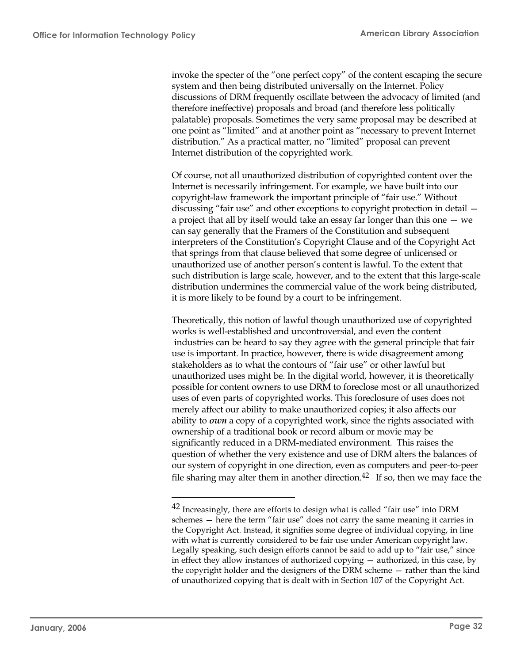invoke the specter of the "one perfect copy" of the content escaping the secure system and then being distributed universally on the Internet. Policy discussions of DRM frequently oscillate between the advocacy of limited (and therefore ineffective) proposals and broad (and therefore less politically palatable) proposals. Sometimes the very same proposal may be described at one point as "limited" and at another point as "necessary to prevent Internet distribution." As a practical matter, no "limited" proposal can prevent Internet distribution of the copyrighted work.

Of course, not all unauthorized distribution of copyrighted content over the Internet is necessarily infringement. For example, we have built into our copyright-law framework the important principle of "fair use." Without discussing "fair use" and other exceptions to copyright protection in detail a project that all by itself would take an essay far longer than this one — we can say generally that the Framers of the Constitution and subsequent interpreters of the Constitution's Copyright Clause and of the Copyright Act that springs from that clause believed that some degree of unlicensed or unauthorized use of another person's content is lawful. To the extent that such distribution is large scale, however, and to the extent that this large-scale distribution undermines the commercial value of the work being distributed, it is more likely to be found by a court to be infringement.

Theoretically, this notion of lawful though unauthorized use of copyrighted works is well-established and uncontroversial, and even the content industries can be heard to say they agree with the general principle that fair use is important. In practice, however, there is wide disagreement among stakeholders as to what the contours of "fair use" or other lawful but unauthorized uses might be. In the digital world, however, it is theoretically possible for content owners to use DRM to foreclose most or all unauthorized uses of even parts of copyrighted works. This foreclosure of uses does not merely affect our ability to make unauthorized copies; it also affects our ability to *own* a copy of a copyrighted work, since the rights associated with ownership of a traditional book or record album or movie may be significantly reduced in a DRM-mediated environment. This raises the question of whether the very existence and use of DRM alters the balances of our system of copyright in one direction, even as computers and peer-to-peer file sharing may alter them in another direction.<sup>42</sup> If so, then we may face the

<sup>&</sup>lt;sup>42</sup> Increasingly, there are efforts to design what is called "fair use" into DRM schemes — here the term "fair use" does not carry the same meaning it carries in the Copyright Act. Instead, it signifies some degree of individual copying, in line with what is currently considered to be fair use under American copyright law. Legally speaking, such design efforts cannot be said to add up to "fair use," since in effect they allow instances of authorized copying — authorized, in this case, by the copyright holder and the designers of the DRM scheme — rather than the kind of unauthorized copying that is dealt with in Section 107 of the Copyright Act.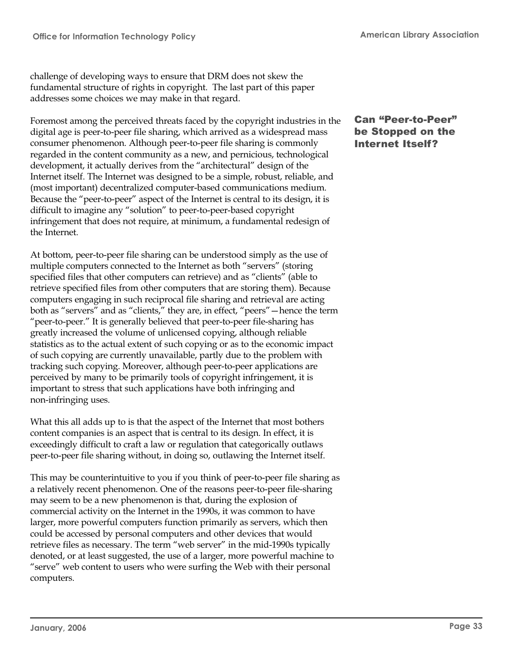challenge of developing ways to ensure that DRM does not skew the fundamental structure of rights in copyright. The last part of this paper addresses some choices we may make in that regard.

Foremost among the perceived threats faced by the copyright industries in the digital age is peer-to-peer file sharing, which arrived as a widespread mass consumer phenomenon. Although peer-to-peer file sharing is commonly regarded in the content community as a new, and pernicious, technological development, it actually derives from the "architectural" design of the Internet itself. The Internet was designed to be a simple, robust, reliable, and (most important) decentralized computer-based communications medium. Because the "peer-to-peer" aspect of the Internet is central to its design, it is difficult to imagine any "solution" to peer-to-peer-based copyright infringement that does not require, at minimum, a fundamental redesign of the Internet.

At bottom, peer-to-peer file sharing can be understood simply as the use of multiple computers connected to the Internet as both "servers" (storing specified files that other computers can retrieve) and as "clients" (able to retrieve specified files from other computers that are storing them). Because computers engaging in such reciprocal file sharing and retrieval are acting both as "servers" and as "clients," they are, in effect, "peers"—hence the term "peer-to-peer." It is generally believed that peer-to-peer file-sharing has greatly increased the volume of unlicensed copying, although reliable statistics as to the actual extent of such copying or as to the economic impact of such copying are currently unavailable, partly due to the problem with tracking such copying. Moreover, although peer-to-peer applications are perceived by many to be primarily tools of copyright infringement, it is important to stress that such applications have both infringing and non-infringing uses.

What this all adds up to is that the aspect of the Internet that most bothers content companies is an aspect that is central to its design. In effect, it is exceedingly difficult to craft a law or regulation that categorically outlaws peer-to-peer file sharing without, in doing so, outlawing the Internet itself.

This may be counterintuitive to you if you think of peer-to-peer file sharing as a relatively recent phenomenon. One of the reasons peer-to-peer file-sharing may seem to be a new phenomenon is that, during the explosion of commercial activity on the Internet in the 1990s, it was common to have larger, more powerful computers function primarily as servers, which then could be accessed by personal computers and other devices that would retrieve files as necessary. The term "web server" in the mid-1990s typically denoted, or at least suggested, the use of a larger, more powerful machine to "serve" web content to users who were surfing the Web with their personal computers.

# Can "Peer-to-Peer" be Stopped on the Internet Itself?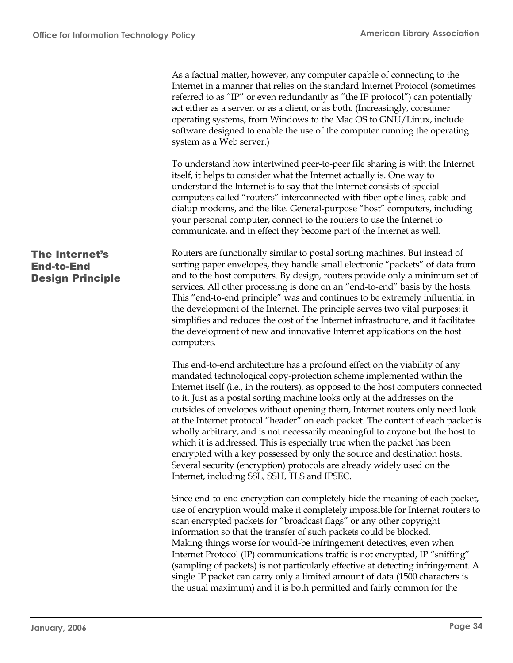As a factual matter, however, any computer capable of connecting to the Internet in a manner that relies on the standard Internet Protocol (sometimes referred to as "IP" or even redundantly as "the IP protocol") can potentially act either as a server, or as a client, or as both. (Increasingly, consumer operating systems, from Windows to the Mac OS to GNU/Linux, include software designed to enable the use of the computer running the operating system as a Web server.) To understand how intertwined peer-to-peer file sharing is with the Internet itself, it helps to consider what the Internet actually is. One way to understand the Internet is to say that the Internet consists of special computers called "routers" interconnected with fiber optic lines, cable and dialup modems, and the like. General-purpose "host" computers, including your personal computer, connect to the routers to use the Internet to communicate, and in effect they become part of the Internet as well. Routers are functionally similar to postal sorting machines. But instead of sorting paper envelopes, they handle small electronic "packets" of data from and to the host computers. By design, routers provide only a minimum set of services. All other processing is done on an "end-to-end" basis by the hosts. This "end-to-end principle" was and continues to be extremely influential in the development of the Internet. The principle serves two vital purposes: it simplifies and reduces the cost of the Internet infrastructure, and it facilitates the development of new and innovative Internet applications on the host computers. This end-to-end architecture has a profound effect on the viability of any mandated technological copy-protection scheme implemented within the Internet itself (i.e., in the routers), as opposed to the host computers connected to it. Just as a postal sorting machine looks only at the addresses on the outsides of envelopes without opening them, Internet routers only need look at the Internet protocol "header" on each packet. The content of each packet is wholly arbitrary, and is not necessarily meaningful to anyone but the host to which it is addressed. This is especially true when the packet has been encrypted with a key possessed by only the source and destination hosts. Several security (encryption) protocols are already widely used on the Internet, including SSL, SSH, TLS and IPSEC. Since end-to-end encryption can completely hide the meaning of each packet, The Internet's End-to-End Design Principle

use of encryption would make it completely impossible for Internet routers to scan encrypted packets for "broadcast flags" or any other copyright information so that the transfer of such packets could be blocked. Making things worse for would-be infringement detectives, even when Internet Protocol (IP) communications traffic is not encrypted, IP "sniffing" (sampling of packets) is not particularly effective at detecting infringement. A single IP packet can carry only a limited amount of data (1500 characters is the usual maximum) and it is both permitted and fairly common for the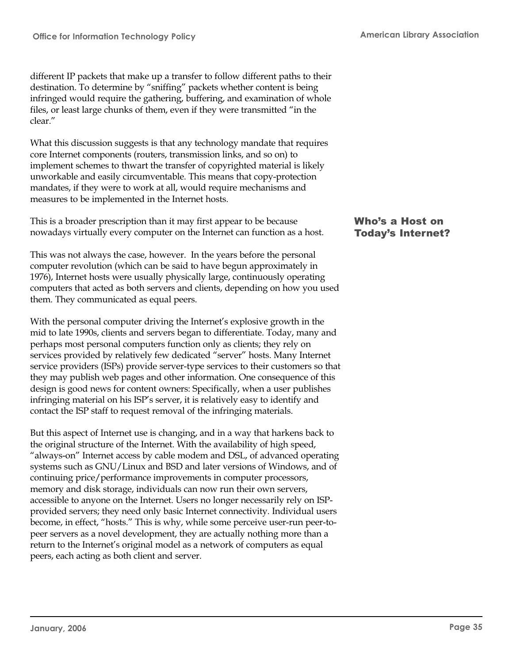different IP packets that make up a transfer to follow different paths to their destination. To determine by "sniffing" packets whether content is being infringed would require the gathering, buffering, and examination of whole files, or least large chunks of them, even if they were transmitted "in the clear."

What this discussion suggests is that any technology mandate that requires core Internet components (routers, transmission links, and so on) to implement schemes to thwart the transfer of copyrighted material is likely unworkable and easily circumventable. This means that copy-protection mandates, if they were to work at all, would require mechanisms and measures to be implemented in the Internet hosts.

This is a broader prescription than it may first appear to be because nowadays virtually every computer on the Internet can function as a host.

This was not always the case, however. In the years before the personal computer revolution (which can be said to have begun approximately in 1976), Internet hosts were usually physically large, continuously operating computers that acted as both servers and clients, depending on how you used them. They communicated as equal peers.

With the personal computer driving the Internet's explosive growth in the mid to late 1990s, clients and servers began to differentiate. Today, many and perhaps most personal computers function only as clients; they rely on services provided by relatively few dedicated "server" hosts. Many Internet service providers (ISPs) provide server-type services to their customers so that they may publish web pages and other information. One consequence of this design is good news for content owners: Specifically, when a user publishes infringing material on his ISP's server, it is relatively easy to identify and contact the ISP staff to request removal of the infringing materials.

But this aspect of Internet use is changing, and in a way that harkens back to the original structure of the Internet. With the availability of high speed, "always-on" Internet access by cable modem and DSL, of advanced operating systems such as GNU/Linux and BSD and later versions of Windows, and of continuing price/performance improvements in computer processors, memory and disk storage, individuals can now run their own servers, accessible to anyone on the Internet. Users no longer necessarily rely on ISPprovided servers; they need only basic Internet connectivity. Individual users become, in effect, "hosts." This is why, while some perceive user-run peer-topeer servers as a novel development, they are actually nothing more than a return to the Internet's original model as a network of computers as equal peers, each acting as both client and server.

#### Who's a Host on Today's Internet?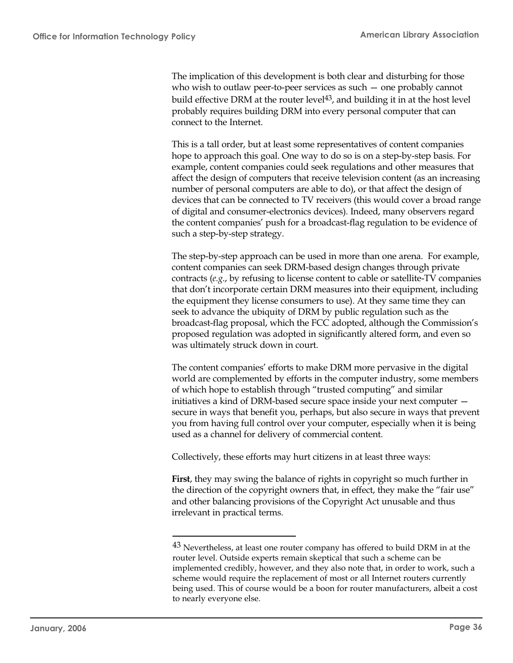The implication of this development is both clear and disturbing for those who wish to outlaw peer-to-peer services as such — one probably cannot build effective DRM at the router level<sup>43</sup>, and building it in at the host level probably requires building DRM into every personal computer that can connect to the Internet.

This is a tall order, but at least some representatives of content companies hope to approach this goal. One way to do so is on a step-by-step basis. For example, content companies could seek regulations and other measures that affect the design of computers that receive television content (as an increasing number of personal computers are able to do), or that affect the design of devices that can be connected to TV receivers (this would cover a broad range of digital and consumer-electronics devices). Indeed, many observers regard the content companies' push for a broadcast-flag regulation to be evidence of such a step-by-step strategy.

The step-by-step approach can be used in more than one arena. For example, content companies can seek DRM-based design changes through private contracts (*e.g*., by refusing to license content to cable or satellite-TV companies that don't incorporate certain DRM measures into their equipment, including the equipment they license consumers to use). At they same time they can seek to advance the ubiquity of DRM by public regulation such as the broadcast-flag proposal, which the FCC adopted, although the Commission's proposed regulation was adopted in significantly altered form, and even so was ultimately struck down in court.

The content companies' efforts to make DRM more pervasive in the digital world are complemented by efforts in the computer industry, some members of which hope to establish through "trusted computing" and similar initiatives a kind of DRM-based secure space inside your next computer secure in ways that benefit you, perhaps, but also secure in ways that prevent you from having full control over your computer, especially when it is being used as a channel for delivery of commercial content.

Collectively, these efforts may hurt citizens in at least three ways:

**First**, they may swing the balance of rights in copyright so much further in the direction of the copyright owners that, in effect, they make the "fair use" and other balancing provisions of the Copyright Act unusable and thus irrelevant in practical terms.

 $43$  Nevertheless, at least one router company has offered to build DRM in at the router level. Outside experts remain skeptical that such a scheme can be implemented credibly, however, and they also note that, in order to work, such a scheme would require the replacement of most or all Internet routers currently being used. This of course would be a boon for router manufacturers, albeit a cost to nearly everyone else.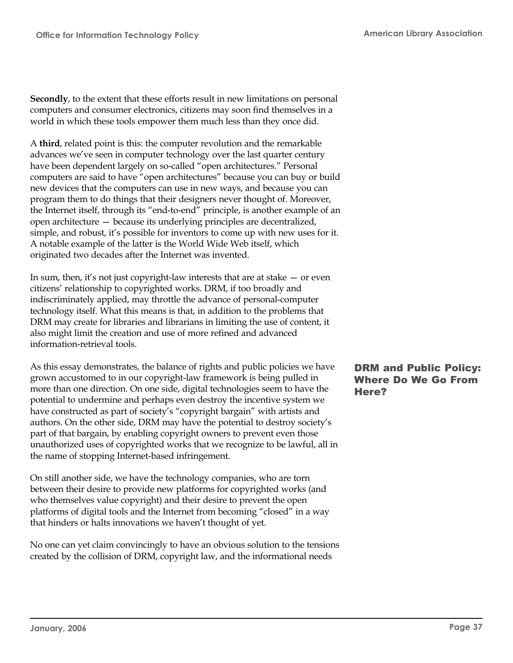**Secondly**, to the extent that these efforts result in new limitations on personal computers and consumer electronics, citizens may soon find themselves in a world in which these tools empower them much less than they once did.

A **third**, related point is this: the computer revolution and the remarkable advances we've seen in computer technology over the last quarter century have been dependent largely on so-called "open architectures." Personal computers are said to have "open architectures" because you can buy or build new devices that the computers can use in new ways, and because you can program them to do things that their designers never thought of. Moreover, the Internet itself, through its "end-to-end" principle, is another example of an open architecture — because its underlying principles are decentralized, simple, and robust, it's possible for inventors to come up with new uses for it. A notable example of the latter is the World Wide Web itself, which originated two decades after the Internet was invented.

In sum, then, it's not just copyright-law interests that are at stake — or even citizens' relationship to copyrighted works. DRM, if too broadly and indiscriminately applied, may throttle the advance of personal-computer technology itself. What this means is that, in addition to the problems that DRM may create for libraries and librarians in limiting the use of content, it also might limit the creation and use of more refined and advanced information-retrieval tools.

As this essay demonstrates, the balance of rights and public policies we have grown accustomed to in our copyright-law framework is being pulled in more than one direction. On one side, digital technologies seem to have the potential to undermine and perhaps even destroy the incentive system we have constructed as part of society's "copyright bargain" with artists and authors. On the other side, DRM may have the potential to destroy society's part of that bargain, by enabling copyright owners to prevent even those unauthorized uses of copyrighted works that we recognize to be lawful, all in the name of stopping Internet-based infringement.

On still another side, we have the technology companies, who are torn between their desire to provide new platforms for copyrighted works (and who themselves value copyright) and their desire to prevent the open platforms of digital tools and the Internet from becoming "closed" in a way that hinders or halts innovations we haven't thought of yet.

No one can yet claim convincingly to have an obvious solution to the tensions created by the collision of DRM, copyright law, and the informational needs

# DRM and Public Policy: Where Do We Go From Here?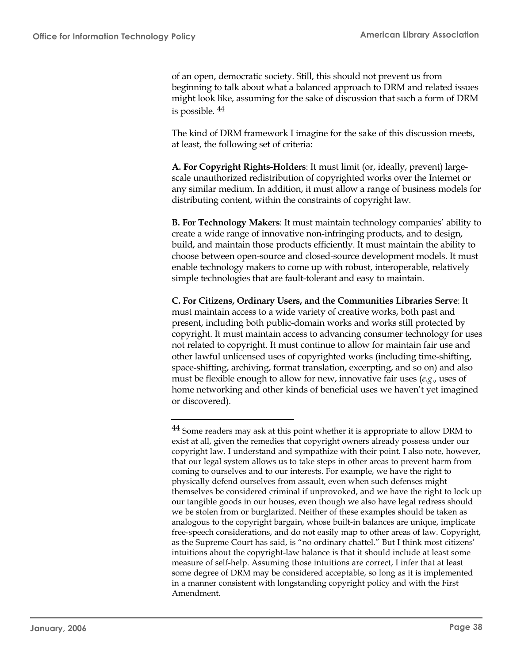of an open, democratic society. Still, this should not prevent us from beginning to talk about what a balanced approach to DRM and related issues might look like, assuming for the sake of discussion that such a form of DRM is possible. <sup>44</sup>

The kind of DRM framework I imagine for the sake of this discussion meets, at least, the following set of criteria:

**A. For Copyright Rights-Holders**: It must limit (or, ideally, prevent) largescale unauthorized redistribution of copyrighted works over the Internet or any similar medium. In addition, it must allow a range of business models for distributing content, within the constraints of copyright law.

**B. For Technology Makers**: It must maintain technology companies' ability to create a wide range of innovative non-infringing products, and to design, build, and maintain those products efficiently. It must maintain the ability to choose between open-source and closed-source development models. It must enable technology makers to come up with robust, interoperable, relatively simple technologies that are fault-tolerant and easy to maintain.

**C. For Citizens, Ordinary Users, and the Communities Libraries Serve**: It must maintain access to a wide variety of creative works, both past and present, including both public-domain works and works still protected by copyright. It must maintain access to advancing consumer technology for uses not related to copyright. It must continue to allow for maintain fair use and other lawful unlicensed uses of copyrighted works (including time-shifting, space-shifting, archiving, format translation, excerpting, and so on) and also must be flexible enough to allow for new, innovative fair uses (*e.g*., uses of home networking and other kinds of beneficial uses we haven't yet imagined or discovered).

<sup>&</sup>lt;sup>44</sup> Some readers may ask at this point whether it is appropriate to allow DRM to exist at all, given the remedies that copyright owners already possess under our copyright law. I understand and sympathize with their point. I also note, however, that our legal system allows us to take steps in other areas to prevent harm from coming to ourselves and to our interests. For example, we have the right to physically defend ourselves from assault, even when such defenses might themselves be considered criminal if unprovoked, and we have the right to lock up our tangible goods in our houses, even though we also have legal redress should we be stolen from or burglarized. Neither of these examples should be taken as analogous to the copyright bargain, whose built-in balances are unique, implicate free-speech considerations, and do not easily map to other areas of law. Copyright, as the Supreme Court has said, is "no ordinary chattel." But I think most citizens' intuitions about the copyright-law balance is that it should include at least some measure of self-help. Assuming those intuitions are correct, I infer that at least some degree of DRM may be considered acceptable, so long as it is implemented in a manner consistent with longstanding copyright policy and with the First Amendment.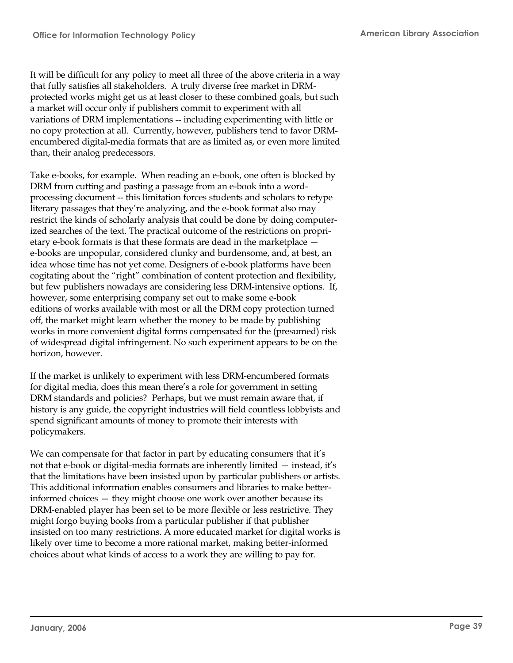It will be difficult for any policy to meet all three of the above criteria in a way that fully satisfies all stakeholders. A truly diverse free market in DRMprotected works might get us at least closer to these combined goals, but such a market will occur only if publishers commit to experiment with all variations of DRM implementations -- including experimenting with little or no copy protection at all. Currently, however, publishers tend to favor DRMencumbered digital-media formats that are as limited as, or even more limited than, their analog predecessors.

Take e-books, for example. When reading an e-book, one often is blocked by DRM from cutting and pasting a passage from an e-book into a wordprocessing document -- this limitation forces students and scholars to retype literary passages that they're analyzing, and the e-book format also may restrict the kinds of scholarly analysis that could be done by doing computerized searches of the text. The practical outcome of the restrictions on proprietary e-book formats is that these formats are dead in the marketplace e-books are unpopular, considered clunky and burdensome, and, at best, an idea whose time has not yet come. Designers of e-book platforms have been cogitating about the "right" combination of content protection and flexibility, but few publishers nowadays are considering less DRM-intensive options. If, however, some enterprising company set out to make some e-book editions of works available with most or all the DRM copy protection turned off, the market might learn whether the money to be made by publishing works in more convenient digital forms compensated for the (presumed) risk of widespread digital infringement. No such experiment appears to be on the horizon, however.

If the market is unlikely to experiment with less DRM-encumbered formats for digital media, does this mean there's a role for government in setting DRM standards and policies? Perhaps, but we must remain aware that, if history is any guide, the copyright industries will field countless lobbyists and spend significant amounts of money to promote their interests with policymakers.

We can compensate for that factor in part by educating consumers that it's not that e-book or digital-media formats are inherently limited — instead, it's that the limitations have been insisted upon by particular publishers or artists. This additional information enables consumers and libraries to make betterinformed choices — they might choose one work over another because its DRM-enabled player has been set to be more flexible or less restrictive. They might forgo buying books from a particular publisher if that publisher insisted on too many restrictions. A more educated market for digital works is likely over time to become a more rational market, making better-informed choices about what kinds of access to a work they are willing to pay for.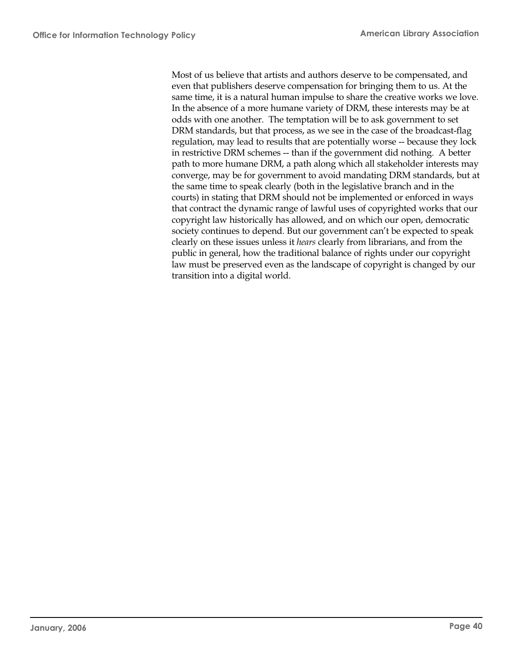Most of us believe that artists and authors deserve to be compensated, and even that publishers deserve compensation for bringing them to us. At the same time, it is a natural human impulse to share the creative works we love. In the absence of a more humane variety of DRM, these interests may be at odds with one another. The temptation will be to ask government to set DRM standards, but that process, as we see in the case of the broadcast-flag regulation, may lead to results that are potentially worse -- because they lock in restrictive DRM schemes -- than if the government did nothing. A better path to more humane DRM, a path along which all stakeholder interests may converge, may be for government to avoid mandating DRM standards, but at the same time to speak clearly (both in the legislative branch and in the courts) in stating that DRM should not be implemented or enforced in ways that contract the dynamic range of lawful uses of copyrighted works that our copyright law historically has allowed, and on which our open, democratic society continues to depend. But our government can't be expected to speak clearly on these issues unless it *hears* clearly from librarians, and from the public in general, how the traditional balance of rights under our copyright law must be preserved even as the landscape of copyright is changed by our transition into a digital world.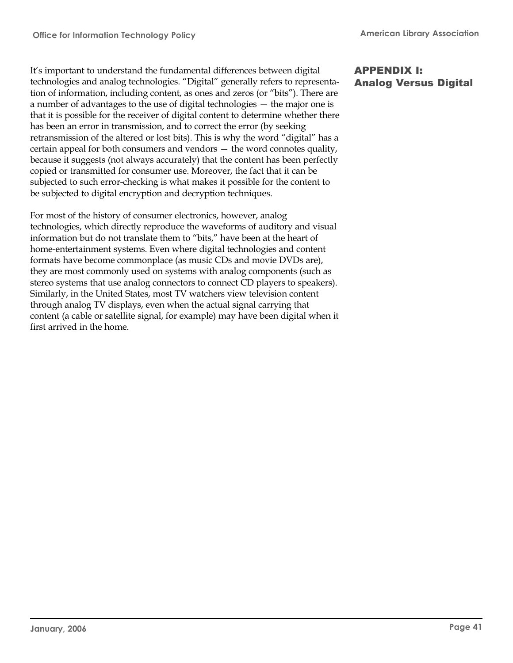It's important to understand the fundamental differences between digital technologies and analog technologies. "Digital" generally refers to representation of information, including content, as ones and zeros (or "bits"). There are a number of advantages to the use of digital technologies — the major one is that it is possible for the receiver of digital content to determine whether there has been an error in transmission, and to correct the error (by seeking retransmission of the altered or lost bits). This is why the word "digital" has a certain appeal for both consumers and vendors — the word connotes quality, because it suggests (not always accurately) that the content has been perfectly copied or transmitted for consumer use. Moreover, the fact that it can be subjected to such error-checking is what makes it possible for the content to be subjected to digital encryption and decryption techniques.

For most of the history of consumer electronics, however, analog technologies, which directly reproduce the waveforms of auditory and visual information but do not translate them to "bits," have been at the heart of home-entertainment systems. Even where digital technologies and content formats have become commonplace (as music CDs and movie DVDs are), they are most commonly used on systems with analog components (such as stereo systems that use analog connectors to connect CD players to speakers). Similarly, in the United States, most TV watchers view television content through analog TV displays, even when the actual signal carrying that content (a cable or satellite signal, for example) may have been digital when it first arrived in the home.

## APPENDIX I: Analog Versus Digital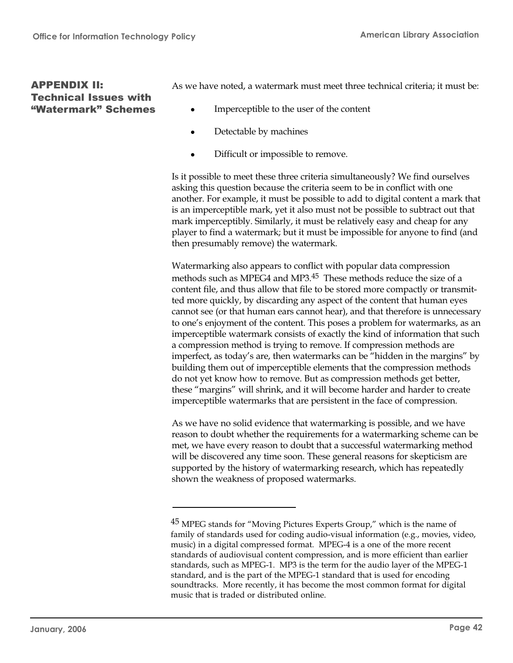## APPENDIX II: Technical Issues with "Watermark" Schemes

As we have noted, a watermark must meet three technical criteria; it must be:

- Imperceptible to the user of the content
- Detectable by machines
- Difficult or impossible to remove.

Is it possible to meet these three criteria simultaneously? We find ourselves asking this question because the criteria seem to be in conflict with one another. For example, it must be possible to add to digital content a mark that is an imperceptible mark, yet it also must not be possible to subtract out that mark imperceptibly. Similarly, it must be relatively easy and cheap for any player to find a watermark; but it must be impossible for anyone to find (and then presumably remove) the watermark.

Watermarking also appears to conflict with popular data compression methods such as MPEG4 and MP3.<sup>45</sup> These methods reduce the size of a content file, and thus allow that file to be stored more compactly or transmitted more quickly, by discarding any aspect of the content that human eyes cannot see (or that human ears cannot hear), and that therefore is unnecessary to one's enjoyment of the content. This poses a problem for watermarks, as an imperceptible watermark consists of exactly the kind of information that such a compression method is trying to remove. If compression methods are imperfect, as today's are, then watermarks can be "hidden in the margins" by building them out of imperceptible elements that the compression methods do not yet know how to remove. But as compression methods get better, these "margins" will shrink, and it will become harder and harder to create imperceptible watermarks that are persistent in the face of compression.

As we have no solid evidence that watermarking is possible, and we have reason to doubt whether the requirements for a watermarking scheme can be met, we have every reason to doubt that a successful watermarking method will be discovered any time soon. These general reasons for skepticism are supported by the history of watermarking research, which has repeatedly shown the weakness of proposed watermarks.

<sup>&</sup>lt;sup>45</sup> MPEG stands for "Moving Pictures Experts Group," which is the name of family of standards used for coding audio-visual information (e.g., movies, video, music) in a digital compressed format. MPEG-4 is a one of the more recent standards of audiovisual content compression, and is more efficient than earlier standards, such as MPEG-1. MP3 is the term for the audio layer of the MPEG-1 standard, and is the part of the MPEG-1 standard that is used for encoding soundtracks. More recently, it has become the most common format for digital music that is traded or distributed online.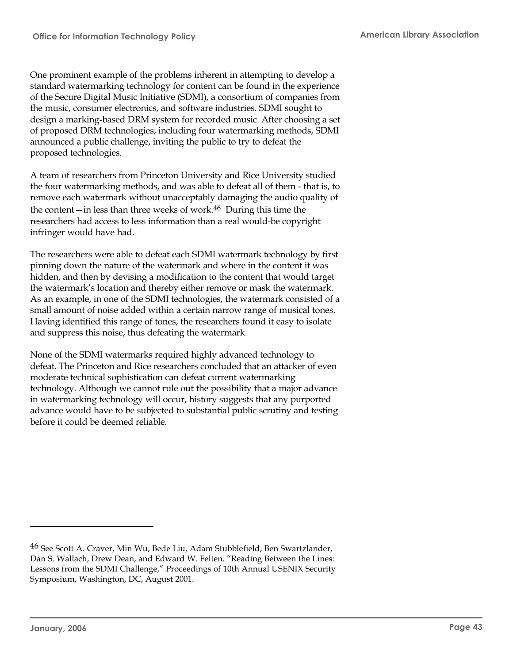One prominent example of the problems inherent in attempting to develop a standard watermarking technology for content can be found in the experience of the Secure Digital Music Initiative (SDMI), a consortium of companies from the music, consumer electronics, and software industries. SDMI sought to design a marking-based DRM system for recorded music. After choosing a set of proposed DRM technologies, including four watermarking methods, SDMI announced a public challenge, inviting the public to try to defeat the proposed technologies.

A team of researchers from Princeton University and Rice University studied the four watermarking methods, and was able to defeat all of them - that is, to remove each watermark without unacceptably damaging the audio quality of the content—in less than three weeks of work.<sup>46</sup> During this time the researchers had access to less information than a real would-be copyright infringer would have had.

The researchers were able to defeat each SDMI watermark technology by first pinning down the nature of the watermark and where in the content it was hidden, and then by devising a modification to the content that would target the watermark's location and thereby either remove or mask the watermark. As an example, in one of the SDMI technologies, the watermark consisted of a small amount of noise added within a certain narrow range of musical tones. Having identified this range of tones, the researchers found it easy to isolate and suppress this noise, thus defeating the watermark.

None of the SDMI watermarks required highly advanced technology to defeat. The Princeton and Rice researchers concluded that an attacker of even moderate technical sophistication can defeat current watermarking technology. Although we cannot rule out the possibility that a major advance in watermarking technology will occur, history suggests that any purported advance would have to be subjected to substantial public scrutiny and testing before it could be deemed reliable.

<sup>46</sup> See Scott A. Craver, Min Wu, Bede Liu, Adam Stubblefield, Ben Swartzlander, Dan S. Wallach, Drew Dean, and Edward W. Felten. "Reading Between the Lines: Lessons from the SDMI Challenge," Proceedings of 10th Annual USENIX Security Symposium, Washington, DC, August 2001.